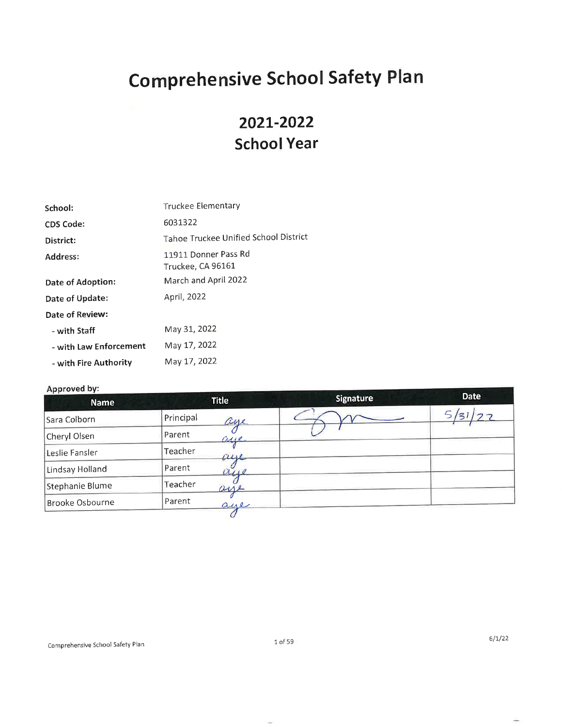# **Comprehensive School Safety Plan**

# 2021-2022 **School Year**

| Truckee Elementary                        |
|-------------------------------------------|
| 6031322                                   |
| Tahoe Truckee Unified School District     |
| 11911 Donner Pass Rd<br>Truckee, CA 96161 |
| March and April 2022                      |
| April, 2022                               |
|                                           |
| May 31, 2022                              |
| May 17, 2022                              |
| May 17, 2022                              |
|                                           |

# Approved by:

| <b>Title</b>     | <b>Signature</b> | <b>Date</b> |
|------------------|------------------|-------------|
| Principal<br>aue |                  | フフ          |
| Parent<br>asse.  |                  |             |
| Teacher<br>$\mu$ |                  |             |
| Parent<br>041    |                  |             |
| Teacher<br>ane   |                  |             |
| Parent<br>aue    |                  |             |
|                  |                  |             |

Ξ

÷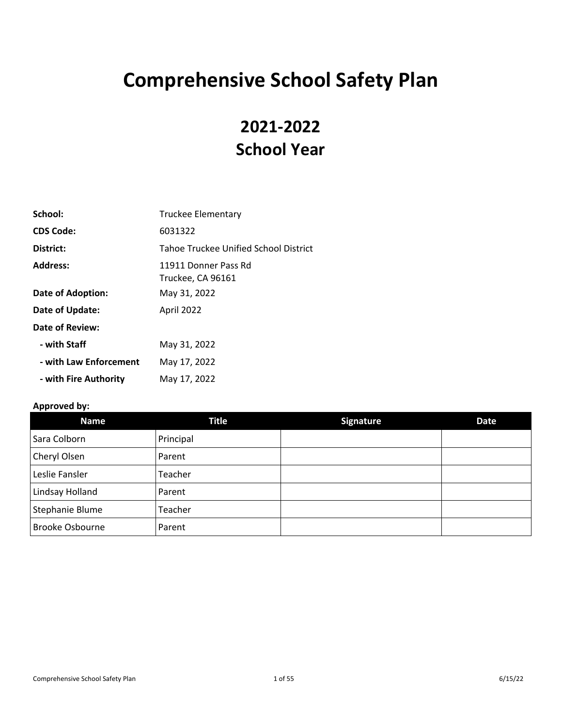# **Comprehensive School Safety Plan**

# **2021-2022 School Year**

| School:                | <b>Truckee Elementary</b>                 |
|------------------------|-------------------------------------------|
| <b>CDS Code:</b>       | 6031322                                   |
| District:              | Tahoe Truckee Unified School District     |
| Address:               | 11911 Donner Pass Rd<br>Truckee, CA 96161 |
| Date of Adoption:      | May 31, 2022                              |
| Date of Update:        | April 2022                                |
| <b>Date of Review:</b> |                                           |
| - with Staff           | May 31, 2022                              |
| - with Law Enforcement | May 17, 2022                              |
| - with Fire Authority  | May 17, 2022                              |

# **Approved by:**

| Name                   | <b>Title</b> | <b>Signature</b> | Date |
|------------------------|--------------|------------------|------|
| Sara Colborn           | Principal    |                  |      |
| Cheryl Olsen           | Parent       |                  |      |
| Leslie Fansler         | Teacher      |                  |      |
| Lindsay Holland        | Parent       |                  |      |
| Stephanie Blume        | Teacher      |                  |      |
| <b>Brooke Osbourne</b> | Parent       |                  |      |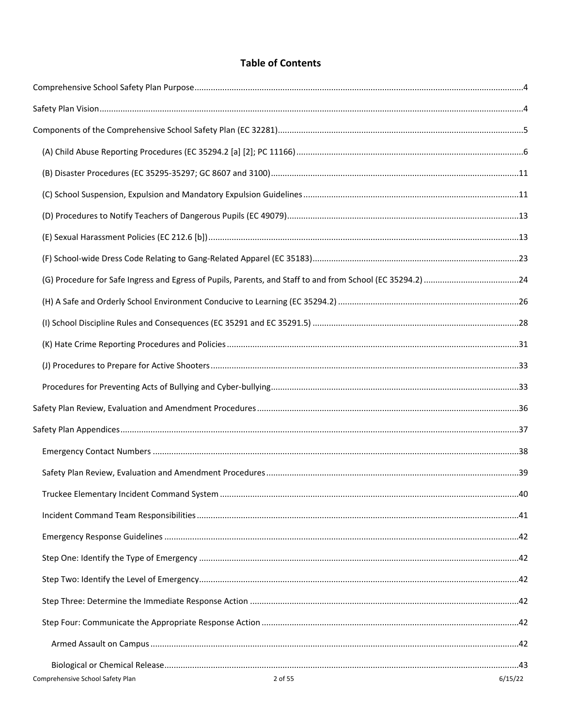# **Table of Contents**

| 2 of 55<br>Comprehensive School Safety Plan | 6/15/22 |
|---------------------------------------------|---------|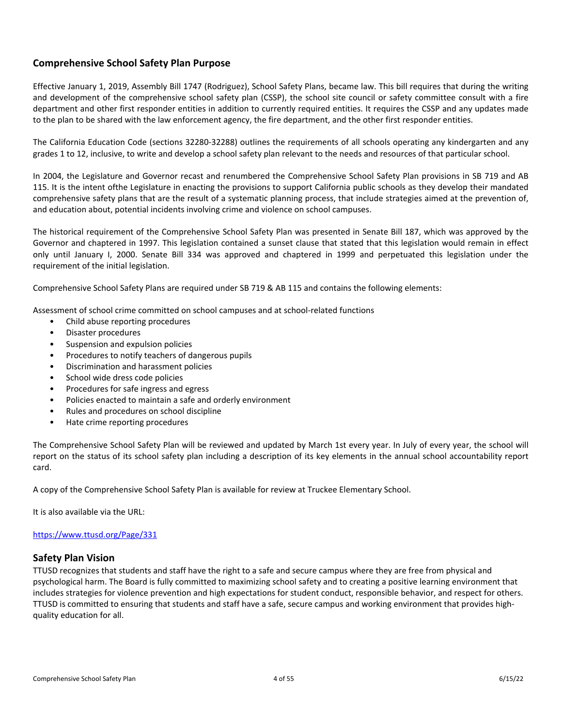# <span id="page-4-0"></span>**Comprehensive School Safety Plan Purpose**

Effective January 1, 2019, Assembly Bill 1747 (Rodriguez), School Safety Plans, became law. This bill requires that during the writing and development of the comprehensive school safety plan (CSSP), the school site council or safety committee consult with a fire department and other first responder entities in addition to currently required entities. It requires the CSSP and any updates made to the plan to be shared with the law enforcement agency, the fire department, and the other first responder entities.

The California Education Code (sections 32280-32288) outlines the requirements of all schools operating any kindergarten and any grades 1 to 12, inclusive, to write and develop a school safety plan relevant to the needs and resources of that particular school.

In 2004, the Legislature and Governor recast and renumbered the Comprehensive School Safety Plan provisions in SB 719 and AB 115. It is the intent ofthe Legislature in enacting the provisions to support California public schools as they develop their mandated comprehensive safety plans that are the result of a systematic planning process, that include strategies aimed at the prevention of, and education about, potential incidents involving crime and violence on school campuses.

The historical requirement of the Comprehensive School Safety Plan was presented in Senate Bill 187, which was approved by the Governor and chaptered in 1997. This legislation contained a sunset clause that stated that this legislation would remain in effect only until January I, 2000. Senate Bill 334 was approved and chaptered in 1999 and perpetuated this legislation under the requirement of the initial legislation.

Comprehensive School Safety Plans are required under SB 719 & AB 115 and contains the following elements:

Assessment of school crime committed on school campuses and at school-related functions

- Child abuse reporting procedures
- Disaster procedures
- Suspension and expulsion policies
- Procedures to notify teachers of dangerous pupils
- Discrimination and harassment policies
- School wide dress code policies
- Procedures for safe ingress and egress
- Policies enacted to maintain a safe and orderly environment
- Rules and procedures on school discipline
- Hate crime reporting procedures

The Comprehensive School Safety Plan will be reviewed and updated by March 1st every year. In July of every year, the school will report on the status of its school safety plan including a description of its key elements in the annual school accountability report card.

A copy of the Comprehensive School Safety Plan is available for review at Truckee Elementary School.

It is also available via the URL:

# <https://www.ttusd.org/Page/331>

# <span id="page-4-1"></span>**Safety Plan Vision**

TTUSD recognizes that students and staff have the right to a safe and secure campus where they are free from physical and psychological harm. The Board is fully committed to maximizing school safety and to creating a positive learning environment that includes strategies for violence prevention and high expectations for student conduct, responsible behavior, and respect for others. TTUSD is committed to ensuring that students and staff have a safe, secure campus and working environment that provides highquality education for all.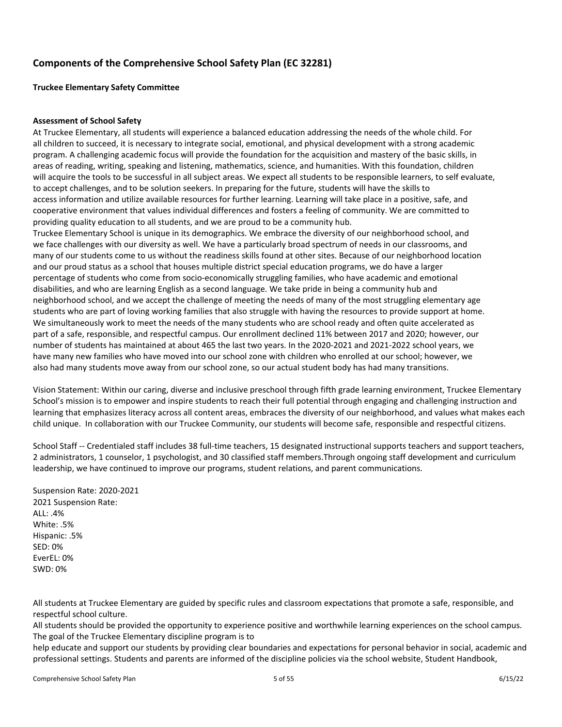# <span id="page-5-0"></span>**Components of the Comprehensive School Safety Plan (EC 32281)**

**Truckee Elementary Safety Committee**

# **Assessment of School Safety**

At Truckee Elementary, all students will experience a balanced education addressing the needs of the whole child. For all children to succeed, it is necessary to integrate social, emotional, and physical development with a strong academic program. A challenging academic focus will provide the foundation for the acquisition and mastery of the basic skills, in areas of reading, writing, speaking and listening, mathematics, science, and humanities. With this foundation, children will acquire the tools to be successful in all subject areas. We expect all students to be responsible learners, to self evaluate, to accept challenges, and to be solution seekers. In preparing for the future, students will have the skills to access information and utilize available resources for further learning. Learning will take place in a positive, safe, and cooperative environment that values individual differences and fosters a feeling of community. We are committed to providing quality education to all students, and we are proud to be a community hub.

Truckee Elementary School is unique in its demographics. We embrace the diversity of our neighborhood school, and we face challenges with our diversity as well. We have a particularly broad spectrum of needs in our classrooms, and many of our students come to us without the readiness skills found at other sites. Because of our neighborhood location and our proud status as a school that houses multiple district special education programs, we do have a larger percentage of students who come from socio-economically struggling families, who have academic and emotional disabilities, and who are learning English as a second language. We take pride in being a community hub and neighborhood school, and we accept the challenge of meeting the needs of many of the most struggling elementary age students who are part of loving working families that also struggle with having the resources to provide support at home. We simultaneously work to meet the needs of the many students who are school ready and often quite accelerated as part of a safe, responsible, and respectful campus. Our enrollment declined 11% between 2017 and 2020; however, our number of students has maintained at about 465 the last two years. In the 2020-2021 and 2021-2022 school years, we have many new families who have moved into our school zone with children who enrolled at our school; however, we also had many students move away from our school zone, so our actual student body has had many transitions.

Vision Statement: Within our caring, diverse and inclusive preschool through fifth grade learning environment, Truckee Elementary School's mission is to empower and inspire students to reach their full potential through engaging and challenging instruction and learning that emphasizes literacy across all content areas, embraces the diversity of our neighborhood, and values what makes each child unique. In collaboration with our Truckee Community, our students will become safe, responsible and respectful citizens.

School Staff -- Credentialed staff includes 38 full-time teachers, 15 designated instructional supports teachers and support teachers, 2 administrators, 1 counselor, 1 psychologist, and 30 classified staff members.Through ongoing staff development and curriculum leadership, we have continued to improve our programs, student relations, and parent communications.

Suspension Rate: 2020-2021 2021 Suspension Rate: ALL: .4% White: .5% Hispanic: .5% SED: 0% EverEL: 0% SWD: 0%

All students at Truckee Elementary are guided by specific rules and classroom expectations that promote a safe, responsible, and respectful school culture.

All students should be provided the opportunity to experience positive and worthwhile learning experiences on the school campus. The goal of the Truckee Elementary discipline program is to

help educate and support our students by providing clear boundaries and expectations for personal behavior in social, academic and professional settings. Students and parents are informed of the discipline policies via the school website, Student Handbook,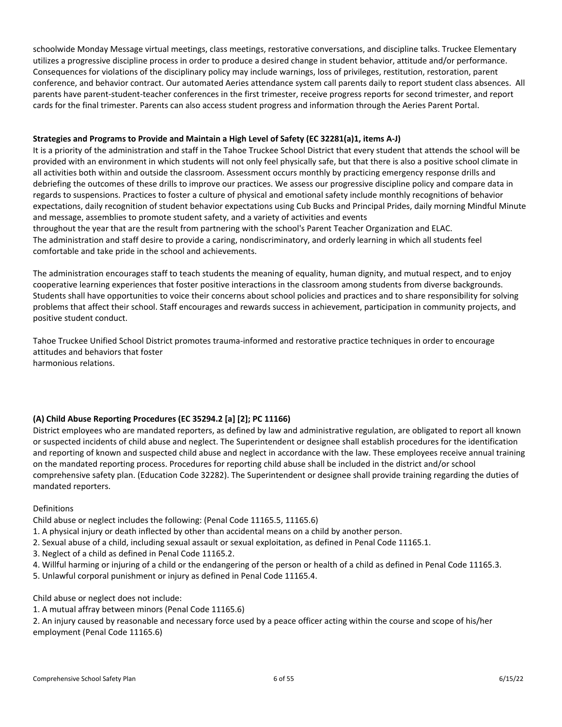schoolwide Monday Message virtual meetings, class meetings, restorative conversations, and discipline talks. Truckee Elementary utilizes a progressive discipline process in order to produce a desired change in student behavior, attitude and/or performance. Consequences for violations of the disciplinary policy may include warnings, loss of privileges, restitution, restoration, parent conference, and behavior contract. Our automated Aeries attendance system call parents daily to report student class absences. All parents have parent-student-teacher conferences in the first trimester, receive progress reports for second trimester, and report cards for the final trimester. Parents can also access student progress and information through the Aeries Parent Portal.

# **Strategies and Programs to Provide and Maintain a High Level of Safety (EC 32281(a)1, items A-J)**

It is a priority of the administration and staff in the Tahoe Truckee School District that every student that attends the school will be provided with an environment in which students will not only feel physically safe, but that there is also a positive school climate in all activities both within and outside the classroom. Assessment occurs monthly by practicing emergency response drills and debriefing the outcomes of these drills to improve our practices. We assess our progressive discipline policy and compare data in regards to suspensions. Practices to foster a culture of physical and emotional safety include monthly recognitions of behavior expectations, daily recognition of student behavior expectations using Cub Bucks and Principal Prides, daily morning Mindful Minute and message, assemblies to promote student safety, and a variety of activities and events throughout the year that are the result from partnering with the school's Parent Teacher Organization and ELAC. The administration and staff desire to provide a caring, nondiscriminatory, and orderly learning in which all students feel

comfortable and take pride in the school and achievements.

The administration encourages staff to teach students the meaning of equality, human dignity, and mutual respect, and to enjoy cooperative learning experiences that foster positive interactions in the classroom among students from diverse backgrounds. Students shall have opportunities to voice their concerns about school policies and practices and to share responsibility for solving problems that affect their school. Staff encourages and rewards success in achievement, participation in community projects, and positive student conduct.

Tahoe Truckee Unified School District promotes trauma-informed and restorative practice techniques in order to encourage attitudes and behaviors that foster harmonious relations.

# <span id="page-6-0"></span>**(A) Child Abuse Reporting Procedures (EC 35294.2 [a] [2]; PC 11166)**

District employees who are mandated reporters, as defined by law and administrative regulation, are obligated to report all known or suspected incidents of child abuse and neglect. The Superintendent or designee shall establish procedures for the identification and reporting of known and suspected child abuse and neglect in accordance with the law. These employees receive annual training on the mandated reporting process. Procedures for reporting child abuse shall be included in the district and/or school comprehensive safety plan. (Education Code 32282). The Superintendent or designee shall provide training regarding the duties of mandated reporters.

# Definitions

Child abuse or neglect includes the following: (Penal Code 11165.5, 11165.6)

- 1. A physical injury or death inflected by other than accidental means on a child by another person.
- 2. Sexual abuse of a child, including sexual assault or sexual exploitation, as defined in Penal Code 11165.1.
- 3. Neglect of a child as defined in Penal Code 11165.2.
- 4. Willful harming or injuring of a child or the endangering of the person or health of a child as defined in Penal Code 11165.3.
- 5. Unlawful corporal punishment or injury as defined in Penal Code 11165.4.

Child abuse or neglect does not include:

1. A mutual affray between minors (Penal Code 11165.6)

2. An injury caused by reasonable and necessary force used by a peace officer acting within the course and scope of his/her employment (Penal Code 11165.6)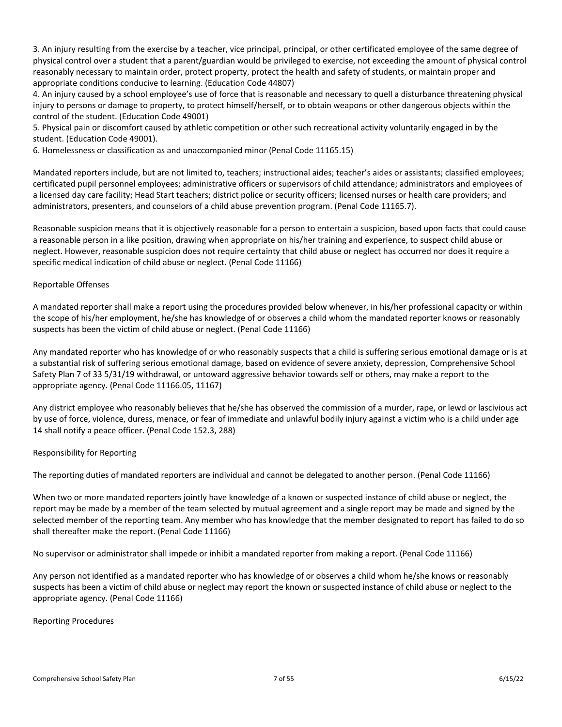3. An injury resulting from the exercise by a teacher, vice principal, principal, or other certificated employee of the same degree of physical control over a student that a parent/guardian would be privileged to exercise, not exceeding the amount of physical control reasonably necessary to maintain order, protect property, protect the health and safety of students, or maintain proper and appropriate conditions conducive to learning. (Education Code 44807)

4. An injury caused by a school employee's use of force that is reasonable and necessary to quell a disturbance threatening physical injury to persons or damage to property, to protect himself/herself, or to obtain weapons or other dangerous objects within the control of the student. (Education Code 49001)

5. Physical pain or discomfort caused by athletic competition or other such recreational activity voluntarily engaged in by the student. (Education Code 49001).

6. Homelessness or classification as and unaccompanied minor (Penal Code 11165.15)

Mandated reporters include, but are not limited to, teachers; instructional aides; teacher's aides or assistants; classified employees; certificated pupil personnel employees; administrative officers or supervisors of child attendance; administrators and employees of a licensed day care facility; Head Start teachers; district police or security officers; licensed nurses or health care providers; and administrators, presenters, and counselors of a child abuse prevention program. (Penal Code 11165.7).

Reasonable suspicion means that it is objectively reasonable for a person to entertain a suspicion, based upon facts that could cause a reasonable person in a like position, drawing when appropriate on his/her training and experience, to suspect child abuse or neglect. However, reasonable suspicion does not require certainty that child abuse or neglect has occurred nor does it require a specific medical indication of child abuse or neglect. (Penal Code 11166)

# Reportable Offenses

A mandated reporter shall make a report using the procedures provided below whenever, in his/her professional capacity or within the scope of his/her employment, he/she has knowledge of or observes a child whom the mandated reporter knows or reasonably suspects has been the victim of child abuse or neglect. (Penal Code 11166)

Any mandated reporter who has knowledge of or who reasonably suspects that a child is suffering serious emotional damage or is at a substantial risk of suffering serious emotional damage, based on evidence of severe anxiety, depression, Comprehensive School Safety Plan 7 of 33 5/31/19 withdrawal, or untoward aggressive behavior towards self or others, may make a report to the appropriate agency. (Penal Code 11166.05, 11167)

Any district employee who reasonably believes that he/she has observed the commission of a murder, rape, or lewd or lascivious act by use of force, violence, duress, menace, or fear of immediate and unlawful bodily injury against a victim who is a child under age 14 shall notify a peace officer. (Penal Code 152.3, 288)

# Responsibility for Reporting

The reporting duties of mandated reporters are individual and cannot be delegated to another person. (Penal Code 11166)

When two or more mandated reporters jointly have knowledge of a known or suspected instance of child abuse or neglect, the report may be made by a member of the team selected by mutual agreement and a single report may be made and signed by the selected member of the reporting team. Any member who has knowledge that the member designated to report has failed to do so shall thereafter make the report. (Penal Code 11166)

No supervisor or administrator shall impede or inhibit a mandated reporter from making a report. (Penal Code 11166)

Any person not identified as a mandated reporter who has knowledge of or observes a child whom he/she knows or reasonably suspects has been a victim of child abuse or neglect may report the known or suspected instance of child abuse or neglect to the appropriate agency. (Penal Code 11166)

# Reporting Procedures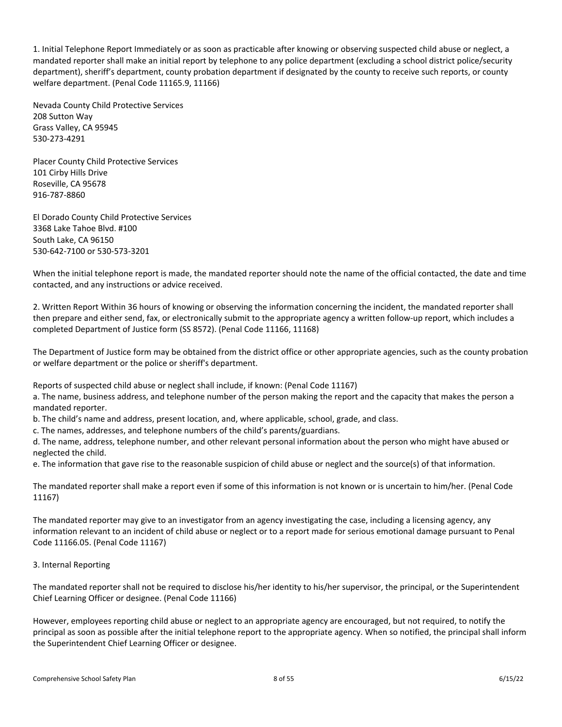1. Initial Telephone Report Immediately or as soon as practicable after knowing or observing suspected child abuse or neglect, a mandated reporter shall make an initial report by telephone to any police department (excluding a school district police/security department), sheriff's department, county probation department if designated by the county to receive such reports, or county welfare department. (Penal Code 11165.9, 11166)

Nevada County Child Protective Services 208 Sutton Way Grass Valley, CA 95945 530-273-4291

Placer County Child Protective Services 101 Cirby Hills Drive Roseville, CA 95678 916-787-8860

El Dorado County Child Protective Services 3368 Lake Tahoe Blvd. #100 South Lake, CA 96150 530-642-7100 or 530-573-3201

When the initial telephone report is made, the mandated reporter should note the name of the official contacted, the date and time contacted, and any instructions or advice received.

2. Written Report Within 36 hours of knowing or observing the information concerning the incident, the mandated reporter shall then prepare and either send, fax, or electronically submit to the appropriate agency a written follow-up report, which includes a completed Department of Justice form (SS 8572). (Penal Code 11166, 11168)

The Department of Justice form may be obtained from the district office or other appropriate agencies, such as the county probation or welfare department or the police or sheriff's department.

Reports of suspected child abuse or neglect shall include, if known: (Penal Code 11167)

a. The name, business address, and telephone number of the person making the report and the capacity that makes the person a mandated reporter.

b. The child's name and address, present location, and, where applicable, school, grade, and class.

c. The names, addresses, and telephone numbers of the child's parents/guardians.

d. The name, address, telephone number, and other relevant personal information about the person who might have abused or neglected the child.

e. The information that gave rise to the reasonable suspicion of child abuse or neglect and the source(s) of that information.

The mandated reporter shall make a report even if some of this information is not known or is uncertain to him/her. (Penal Code 11167)

The mandated reporter may give to an investigator from an agency investigating the case, including a licensing agency, any information relevant to an incident of child abuse or neglect or to a report made for serious emotional damage pursuant to Penal Code 11166.05. (Penal Code 11167)

# 3. Internal Reporting

The mandated reporter shall not be required to disclose his/her identity to his/her supervisor, the principal, or the Superintendent Chief Learning Officer or designee. (Penal Code 11166)

However, employees reporting child abuse or neglect to an appropriate agency are encouraged, but not required, to notify the principal as soon as possible after the initial telephone report to the appropriate agency. When so notified, the principal shall inform the Superintendent Chief Learning Officer or designee.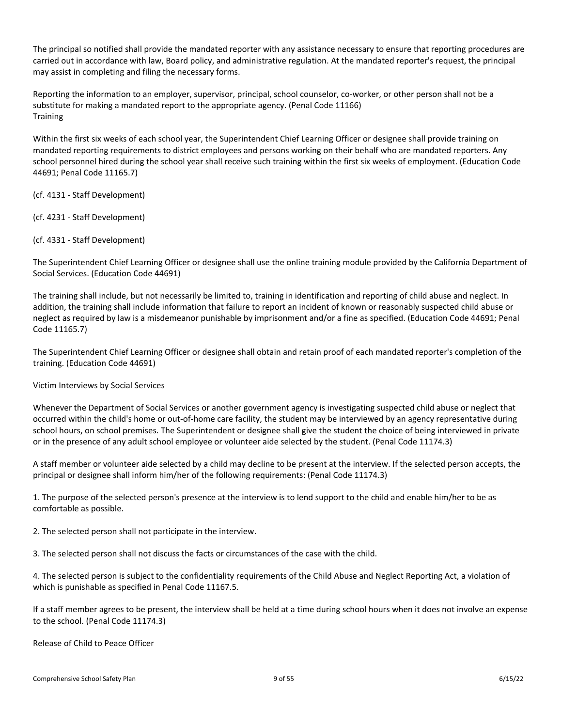The principal so notified shall provide the mandated reporter with any assistance necessary to ensure that reporting procedures are carried out in accordance with law, Board policy, and administrative regulation. At the mandated reporter's request, the principal may assist in completing and filing the necessary forms.

Reporting the information to an employer, supervisor, principal, school counselor, co-worker, or other person shall not be a substitute for making a mandated report to the appropriate agency. (Penal Code 11166) **Training** 

Within the first six weeks of each school year, the Superintendent Chief Learning Officer or designee shall provide training on mandated reporting requirements to district employees and persons working on their behalf who are mandated reporters. Any school personnel hired during the school year shall receive such training within the first six weeks of employment. (Education Code 44691; Penal Code 11165.7)

(cf. 4131 - Staff Development)

(cf. 4231 - Staff Development)

(cf. 4331 - Staff Development)

The Superintendent Chief Learning Officer or designee shall use the online training module provided by the California Department of Social Services. (Education Code 44691)

The training shall include, but not necessarily be limited to, training in identification and reporting of child abuse and neglect. In addition, the training shall include information that failure to report an incident of known or reasonably suspected child abuse or neglect as required by law is a misdemeanor punishable by imprisonment and/or a fine as specified. (Education Code 44691; Penal Code 11165.7)

The Superintendent Chief Learning Officer or designee shall obtain and retain proof of each mandated reporter's completion of the training. (Education Code 44691)

Victim Interviews by Social Services

Whenever the Department of Social Services or another government agency is investigating suspected child abuse or neglect that occurred within the child's home or out-of-home care facility, the student may be interviewed by an agency representative during school hours, on school premises. The Superintendent or designee shall give the student the choice of being interviewed in private or in the presence of any adult school employee or volunteer aide selected by the student. (Penal Code 11174.3)

A staff member or volunteer aide selected by a child may decline to be present at the interview. If the selected person accepts, the principal or designee shall inform him/her of the following requirements: (Penal Code 11174.3)

1. The purpose of the selected person's presence at the interview is to lend support to the child and enable him/her to be as comfortable as possible.

2. The selected person shall not participate in the interview.

3. The selected person shall not discuss the facts or circumstances of the case with the child.

4. The selected person is subject to the confidentiality requirements of the Child Abuse and Neglect Reporting Act, a violation of which is punishable as specified in Penal Code 11167.5.

If a staff member agrees to be present, the interview shall be held at a time during school hours when it does not involve an expense to the school. (Penal Code 11174.3)

Release of Child to Peace Officer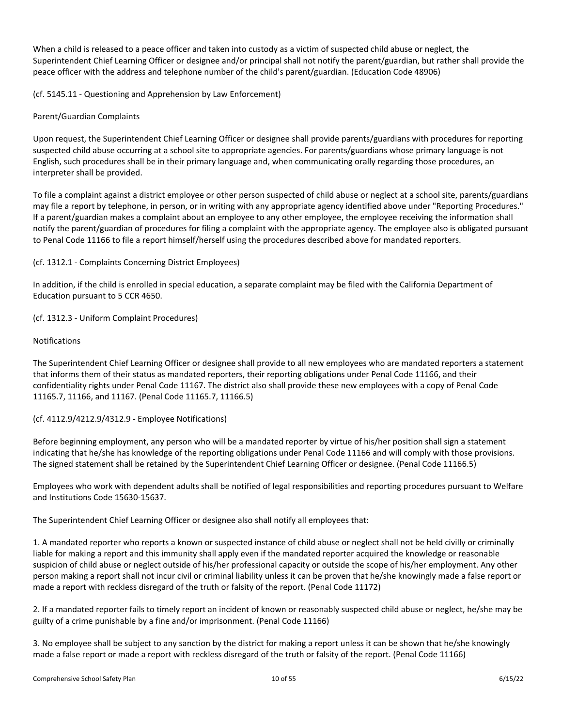When a child is released to a peace officer and taken into custody as a victim of suspected child abuse or neglect, the Superintendent Chief Learning Officer or designee and/or principal shall not notify the parent/guardian, but rather shall provide the peace officer with the address and telephone number of the child's parent/guardian. (Education Code 48906)

(cf. 5145.11 - Questioning and Apprehension by Law Enforcement)

# Parent/Guardian Complaints

Upon request, the Superintendent Chief Learning Officer or designee shall provide parents/guardians with procedures for reporting suspected child abuse occurring at a school site to appropriate agencies. For parents/guardians whose primary language is not English, such procedures shall be in their primary language and, when communicating orally regarding those procedures, an interpreter shall be provided.

To file a complaint against a district employee or other person suspected of child abuse or neglect at a school site, parents/guardians may file a report by telephone, in person, or in writing with any appropriate agency identified above under "Reporting Procedures." If a parent/guardian makes a complaint about an employee to any other employee, the employee receiving the information shall notify the parent/guardian of procedures for filing a complaint with the appropriate agency. The employee also is obligated pursuant to Penal Code 11166 to file a report himself/herself using the procedures described above for mandated reporters.

# (cf. 1312.1 - Complaints Concerning District Employees)

In addition, if the child is enrolled in special education, a separate complaint may be filed with the California Department of Education pursuant to 5 CCR 4650.

(cf. 1312.3 - Uniform Complaint Procedures)

# Notifications

The Superintendent Chief Learning Officer or designee shall provide to all new employees who are mandated reporters a statement that informs them of their status as mandated reporters, their reporting obligations under Penal Code 11166, and their confidentiality rights under Penal Code 11167. The district also shall provide these new employees with a copy of Penal Code 11165.7, 11166, and 11167. (Penal Code 11165.7, 11166.5)

# (cf. 4112.9/4212.9/4312.9 - Employee Notifications)

Before beginning employment, any person who will be a mandated reporter by virtue of his/her position shall sign a statement indicating that he/she has knowledge of the reporting obligations under Penal Code 11166 and will comply with those provisions. The signed statement shall be retained by the Superintendent Chief Learning Officer or designee. (Penal Code 11166.5)

Employees who work with dependent adults shall be notified of legal responsibilities and reporting procedures pursuant to Welfare and Institutions Code 15630-15637.

The Superintendent Chief Learning Officer or designee also shall notify all employees that:

1. A mandated reporter who reports a known or suspected instance of child abuse or neglect shall not be held civilly or criminally liable for making a report and this immunity shall apply even if the mandated reporter acquired the knowledge or reasonable suspicion of child abuse or neglect outside of his/her professional capacity or outside the scope of his/her employment. Any other person making a report shall not incur civil or criminal liability unless it can be proven that he/she knowingly made a false report or made a report with reckless disregard of the truth or falsity of the report. (Penal Code 11172)

2. If a mandated reporter fails to timely report an incident of known or reasonably suspected child abuse or neglect, he/she may be guilty of a crime punishable by a fine and/or imprisonment. (Penal Code 11166)

3. No employee shall be subject to any sanction by the district for making a report unless it can be shown that he/she knowingly made a false report or made a report with reckless disregard of the truth or falsity of the report. (Penal Code 11166)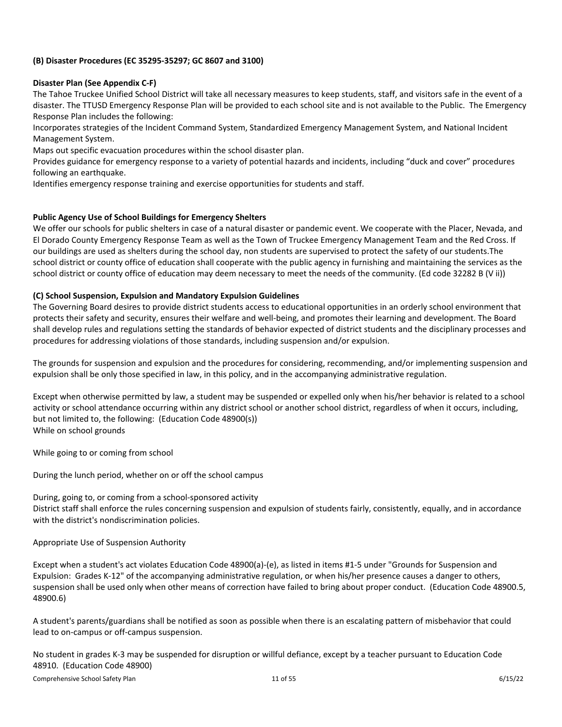# <span id="page-11-0"></span>**(B) Disaster Procedures (EC 35295-35297; GC 8607 and 3100)**

# **Disaster Plan (See Appendix C-F)**

The Tahoe Truckee Unified School District will take all necessary measures to keep students, staff, and visitors safe in the event of a disaster. The TTUSD Emergency Response Plan will be provided to each school site and is not available to the Public. The Emergency Response Plan includes the following:

Incorporates strategies of the Incident Command System, Standardized Emergency Management System, and National Incident Management System.

Maps out specific evacuation procedures within the school disaster plan.

Provides guidance for emergency response to a variety of potential hazards and incidents, including "duck and cover" procedures following an earthquake.

Identifies emergency response training and exercise opportunities for students and staff.

# **Public Agency Use of School Buildings for Emergency Shelters**

We offer our schools for public shelters in case of a natural disaster or pandemic event. We cooperate with the Placer, Nevada, and El Dorado County Emergency Response Team as well as the Town of Truckee Emergency Management Team and the Red Cross. If our buildings are used as shelters during the school day, non students are supervised to protect the safety of our students.The school district or county office of education shall cooperate with the public agency in furnishing and maintaining the services as the school district or county office of education may deem necessary to meet the needs of the community. (Ed code 32282 B (V ii))

# <span id="page-11-1"></span>**(C) School Suspension, Expulsion and Mandatory Expulsion Guidelines**

The Governing Board desires to provide district students access to educational opportunities in an orderly school environment that protects their safety and security, ensures their welfare and well-being, and promotes their learning and development. The Board shall develop rules and regulations setting the standards of behavior expected of district students and the disciplinary processes and procedures for addressing violations of those standards, including suspension and/or expulsion.

The grounds for suspension and expulsion and the procedures for considering, recommending, and/or implementing suspension and expulsion shall be only those specified in law, in this policy, and in the accompanying administrative regulation.

Except when otherwise permitted by law, a student may be suspended or expelled only when his/her behavior is related to a school activity or school attendance occurring within any district school or another school district, regardless of when it occurs, including, but not limited to, the following: (Education Code 48900(s)) While on school grounds

While going to or coming from school

During the lunch period, whether on or off the school campus

During, going to, or coming from a school-sponsored activity District staff shall enforce the rules concerning suspension and expulsion of students fairly, consistently, equally, and in accordance with the district's nondiscrimination policies.

Appropriate Use of Suspension Authority

Except when a student's act violates Education Code 48900(a)-(e), as listed in items #1-5 under "Grounds for Suspension and Expulsion: Grades K-12" of the accompanying administrative regulation, or when his/her presence causes a danger to others, suspension shall be used only when other means of correction have failed to bring about proper conduct. (Education Code 48900.5, 48900.6)

A student's parents/guardians shall be notified as soon as possible when there is an escalating pattern of misbehavior that could lead to on-campus or off-campus suspension.

No student in grades K-3 may be suspended for disruption or willful defiance, except by a teacher pursuant to Education Code 48910. (Education Code 48900)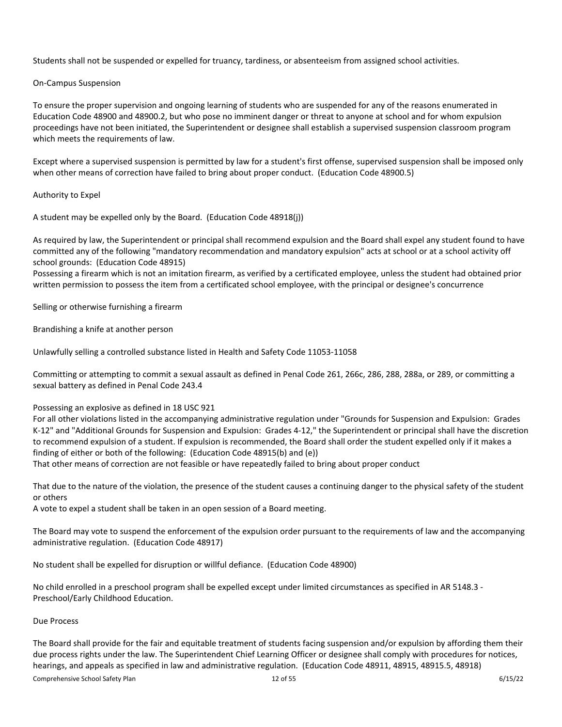Students shall not be suspended or expelled for truancy, tardiness, or absenteeism from assigned school activities.

# On-Campus Suspension

To ensure the proper supervision and ongoing learning of students who are suspended for any of the reasons enumerated in Education Code 48900 and 48900.2, but who pose no imminent danger or threat to anyone at school and for whom expulsion proceedings have not been initiated, the Superintendent or designee shall establish a supervised suspension classroom program which meets the requirements of law.

Except where a supervised suspension is permitted by law for a student's first offense, supervised suspension shall be imposed only when other means of correction have failed to bring about proper conduct. (Education Code 48900.5)

# Authority to Expel

A student may be expelled only by the Board. (Education Code 48918(j))

As required by law, the Superintendent or principal shall recommend expulsion and the Board shall expel any student found to have committed any of the following "mandatory recommendation and mandatory expulsion" acts at school or at a school activity off school grounds: (Education Code 48915)

Possessing a firearm which is not an imitation firearm, as verified by a certificated employee, unless the student had obtained prior written permission to possess the item from a certificated school employee, with the principal or designee's concurrence

Selling or otherwise furnishing a firearm

Brandishing a knife at another person

Unlawfully selling a controlled substance listed in Health and Safety Code 11053-11058

Committing or attempting to commit a sexual assault as defined in Penal Code 261, 266c, 286, 288, 288a, or 289, or committing a sexual battery as defined in Penal Code 243.4

Possessing an explosive as defined in 18 USC 921

For all other violations listed in the accompanying administrative regulation under "Grounds for Suspension and Expulsion: Grades K-12" and "Additional Grounds for Suspension and Expulsion: Grades 4-12," the Superintendent or principal shall have the discretion to recommend expulsion of a student. If expulsion is recommended, the Board shall order the student expelled only if it makes a finding of either or both of the following: (Education Code 48915(b) and (e))

That other means of correction are not feasible or have repeatedly failed to bring about proper conduct

That due to the nature of the violation, the presence of the student causes a continuing danger to the physical safety of the student or others

A vote to expel a student shall be taken in an open session of a Board meeting.

The Board may vote to suspend the enforcement of the expulsion order pursuant to the requirements of law and the accompanying administrative regulation. (Education Code 48917)

No student shall be expelled for disruption or willful defiance. (Education Code 48900)

No child enrolled in a preschool program shall be expelled except under limited circumstances as specified in AR 5148.3 - Preschool/Early Childhood Education.

# Due Process

The Board shall provide for the fair and equitable treatment of students facing suspension and/or expulsion by affording them their due process rights under the law. The Superintendent Chief Learning Officer or designee shall comply with procedures for notices, hearings, and appeals as specified in law and administrative regulation. (Education Code 48911, 48915, 48915.5, 48918)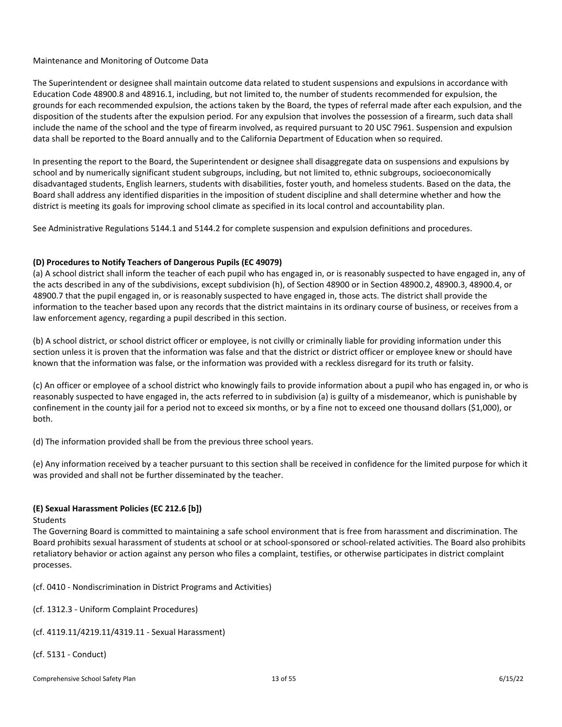# Maintenance and Monitoring of Outcome Data

The Superintendent or designee shall maintain outcome data related to student suspensions and expulsions in accordance with Education Code 48900.8 and 48916.1, including, but not limited to, the number of students recommended for expulsion, the grounds for each recommended expulsion, the actions taken by the Board, the types of referral made after each expulsion, and the disposition of the students after the expulsion period. For any expulsion that involves the possession of a firearm, such data shall include the name of the school and the type of firearm involved, as required pursuant to 20 USC 7961. Suspension and expulsion data shall be reported to the Board annually and to the California Department of Education when so required.

In presenting the report to the Board, the Superintendent or designee shall disaggregate data on suspensions and expulsions by school and by numerically significant student subgroups, including, but not limited to, ethnic subgroups, socioeconomically disadvantaged students, English learners, students with disabilities, foster youth, and homeless students. Based on the data, the Board shall address any identified disparities in the imposition of student discipline and shall determine whether and how the district is meeting its goals for improving school climate as specified in its local control and accountability plan.

See Administrative Regulations 5144.1 and 5144.2 for complete suspension and expulsion definitions and procedures.

# <span id="page-13-0"></span>**(D) Procedures to Notify Teachers of Dangerous Pupils (EC 49079)**

(a) A school district shall inform the teacher of each pupil who has engaged in, or is reasonably suspected to have engaged in, any of the acts described in any of the subdivisions, except subdivision (h), of Section 48900 or in Section 48900.2, 48900.3, 48900.4, or 48900.7 that the pupil engaged in, or is reasonably suspected to have engaged in, those acts. The district shall provide the information to the teacher based upon any records that the district maintains in its ordinary course of business, or receives from a law enforcement agency, regarding a pupil described in this section.

(b) A school district, or school district officer or employee, is not civilly or criminally liable for providing information under this section unless it is proven that the information was false and that the district or district officer or employee knew or should have known that the information was false, or the information was provided with a reckless disregard for its truth or falsity.

(c) An officer or employee of a school district who knowingly fails to provide information about a pupil who has engaged in, or who is reasonably suspected to have engaged in, the acts referred to in subdivision (a) is guilty of a misdemeanor, which is punishable by confinement in the county jail for a period not to exceed six months, or by a fine not to exceed one thousand dollars (\$1,000), or both.

(d) The information provided shall be from the previous three school years.

(e) Any information received by a teacher pursuant to this section shall be received in confidence for the limited purpose for which it was provided and shall not be further disseminated by the teacher.

# <span id="page-13-1"></span>**(E) Sexual Harassment Policies (EC 212.6 [b])**

Students

The Governing Board is committed to maintaining a safe school environment that is free from harassment and discrimination. The Board prohibits sexual harassment of students at school or at school-sponsored or school-related activities. The Board also prohibits retaliatory behavior or action against any person who files a complaint, testifies, or otherwise participates in district complaint processes.

(cf. 0410 - Nondiscrimination in District Programs and Activities)

- (cf. 1312.3 Uniform Complaint Procedures)
- (cf. 4119.11/4219.11/4319.11 Sexual Harassment)
- (cf. 5131 Conduct)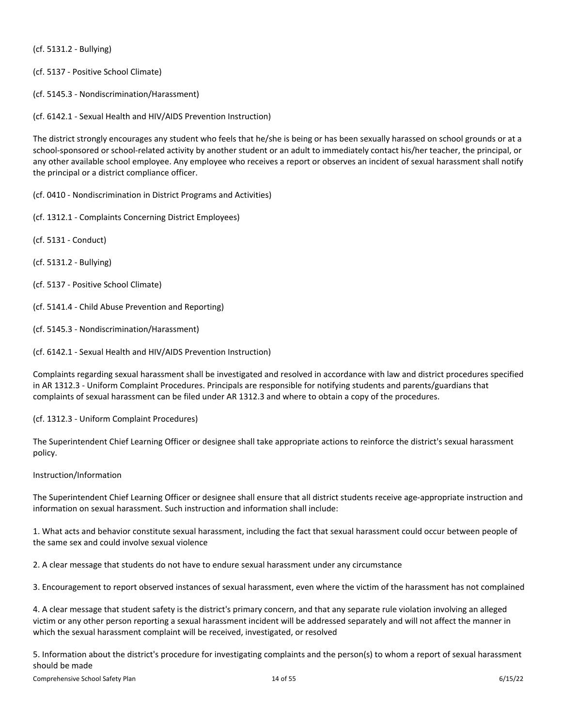(cf. 5131.2 - Bullying)

- (cf. 5137 Positive School Climate)
- (cf. 5145.3 Nondiscrimination/Harassment)

(cf. 6142.1 - Sexual Health and HIV/AIDS Prevention Instruction)

The district strongly encourages any student who feels that he/she is being or has been sexually harassed on school grounds or at a school-sponsored or school-related activity by another student or an adult to immediately contact his/her teacher, the principal, or any other available school employee. Any employee who receives a report or observes an incident of sexual harassment shall notify the principal or a district compliance officer.

(cf. 0410 - Nondiscrimination in District Programs and Activities)

- (cf. 1312.1 Complaints Concerning District Employees)
- (cf. 5131 Conduct)
- (cf. 5131.2 Bullying)
- (cf. 5137 Positive School Climate)
- (cf. 5141.4 Child Abuse Prevention and Reporting)
- (cf. 5145.3 Nondiscrimination/Harassment)
- (cf. 6142.1 Sexual Health and HIV/AIDS Prevention Instruction)

Complaints regarding sexual harassment shall be investigated and resolved in accordance with law and district procedures specified in AR 1312.3 - Uniform Complaint Procedures. Principals are responsible for notifying students and parents/guardians that complaints of sexual harassment can be filed under AR 1312.3 and where to obtain a copy of the procedures.

(cf. 1312.3 - Uniform Complaint Procedures)

The Superintendent Chief Learning Officer or designee shall take appropriate actions to reinforce the district's sexual harassment policy.

# Instruction/Information

The Superintendent Chief Learning Officer or designee shall ensure that all district students receive age-appropriate instruction and information on sexual harassment. Such instruction and information shall include:

1. What acts and behavior constitute sexual harassment, including the fact that sexual harassment could occur between people of the same sex and could involve sexual violence

2. A clear message that students do not have to endure sexual harassment under any circumstance

3. Encouragement to report observed instances of sexual harassment, even where the victim of the harassment has not complained

4. A clear message that student safety is the district's primary concern, and that any separate rule violation involving an alleged victim or any other person reporting a sexual harassment incident will be addressed separately and will not affect the manner in which the sexual harassment complaint will be received, investigated, or resolved

5. Information about the district's procedure for investigating complaints and the person(s) to whom a report of sexual harassment should be made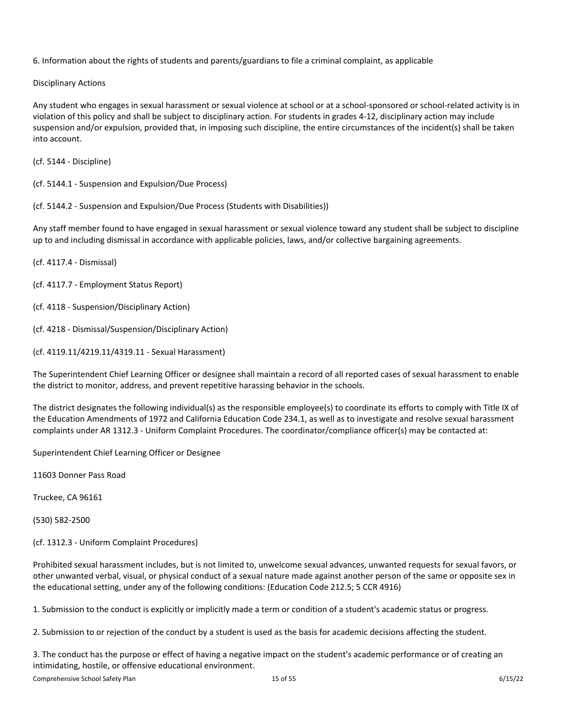6. Information about the rights of students and parents/guardians to file a criminal complaint, as applicable

Disciplinary Actions

Any student who engages in sexual harassment or sexual violence at school or at a school-sponsored or school-related activity is in violation of this policy and shall be subject to disciplinary action. For students in grades 4-12, disciplinary action may include suspension and/or expulsion, provided that, in imposing such discipline, the entire circumstances of the incident(s) shall be taken into account.

(cf. 5144 - Discipline)

(cf. 5144.1 - Suspension and Expulsion/Due Process)

(cf. 5144.2 - Suspension and Expulsion/Due Process (Students with Disabilities))

Any staff member found to have engaged in sexual harassment or sexual violence toward any student shall be subject to discipline up to and including dismissal in accordance with applicable policies, laws, and/or collective bargaining agreements.

(cf. 4117.4 - Dismissal)

- (cf. 4117.7 Employment Status Report)
- (cf. 4118 Suspension/Disciplinary Action)
- (cf. 4218 Dismissal/Suspension/Disciplinary Action)
- (cf. 4119.11/4219.11/4319.11 Sexual Harassment)

The Superintendent Chief Learning Officer or designee shall maintain a record of all reported cases of sexual harassment to enable the district to monitor, address, and prevent repetitive harassing behavior in the schools.

The district designates the following individual(s) as the responsible employee(s) to coordinate its efforts to comply with Title IX of the Education Amendments of 1972 and California Education Code 234.1, as well as to investigate and resolve sexual harassment complaints under AR 1312.3 - Uniform Complaint Procedures. The coordinator/compliance officer(s) may be contacted at:

Superintendent Chief Learning Officer or Designee

11603 Donner Pass Road

Truckee, CA 96161

(530) 582-2500

(cf. 1312.3 - Uniform Complaint Procedures)

Prohibited sexual harassment includes, but is not limited to, unwelcome sexual advances, unwanted requests for sexual favors, or other unwanted verbal, visual, or physical conduct of a sexual nature made against another person of the same or opposite sex in the educational setting, under any of the following conditions: (Education Code 212.5; 5 CCR 4916)

1. Submission to the conduct is explicitly or implicitly made a term or condition of a student's academic status or progress.

2. Submission to or rejection of the conduct by a student is used as the basis for academic decisions affecting the student.

3. The conduct has the purpose or effect of having a negative impact on the student's academic performance or of creating an intimidating, hostile, or offensive educational environment.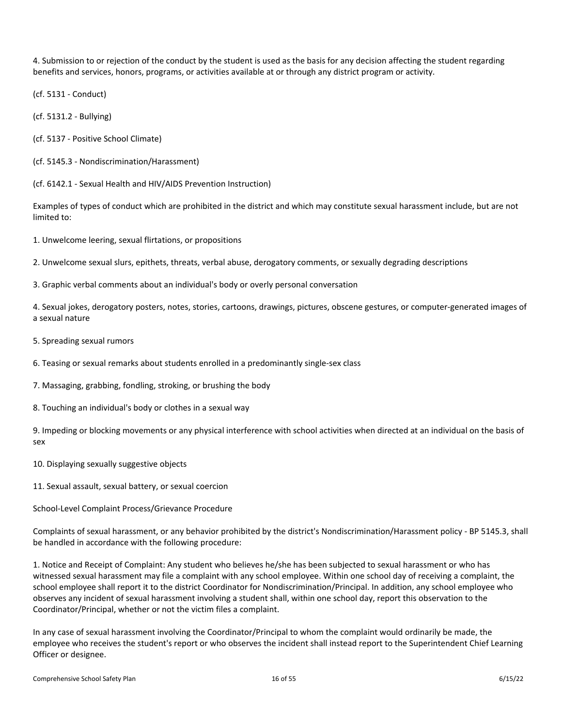4. Submission to or rejection of the conduct by the student is used as the basis for any decision affecting the student regarding benefits and services, honors, programs, or activities available at or through any district program or activity.

(cf. 5131 - Conduct)

(cf. 5131.2 - Bullying)

- (cf. 5137 Positive School Climate)
- (cf. 5145.3 Nondiscrimination/Harassment)

(cf. 6142.1 - Sexual Health and HIV/AIDS Prevention Instruction)

Examples of types of conduct which are prohibited in the district and which may constitute sexual harassment include, but are not limited to:

1. Unwelcome leering, sexual flirtations, or propositions

2. Unwelcome sexual slurs, epithets, threats, verbal abuse, derogatory comments, or sexually degrading descriptions

3. Graphic verbal comments about an individual's body or overly personal conversation

4. Sexual jokes, derogatory posters, notes, stories, cartoons, drawings, pictures, obscene gestures, or computer-generated images of a sexual nature

5. Spreading sexual rumors

6. Teasing or sexual remarks about students enrolled in a predominantly single-sex class

7. Massaging, grabbing, fondling, stroking, or brushing the body

8. Touching an individual's body or clothes in a sexual way

9. Impeding or blocking movements or any physical interference with school activities when directed at an individual on the basis of sex

10. Displaying sexually suggestive objects

11. Sexual assault, sexual battery, or sexual coercion

School-Level Complaint Process/Grievance Procedure

Complaints of sexual harassment, or any behavior prohibited by the district's Nondiscrimination/Harassment policy - BP 5145.3, shall be handled in accordance with the following procedure:

1. Notice and Receipt of Complaint: Any student who believes he/she has been subjected to sexual harassment or who has witnessed sexual harassment may file a complaint with any school employee. Within one school day of receiving a complaint, the school employee shall report it to the district Coordinator for Nondiscrimination/Principal. In addition, any school employee who observes any incident of sexual harassment involving a student shall, within one school day, report this observation to the Coordinator/Principal, whether or not the victim files a complaint.

In any case of sexual harassment involving the Coordinator/Principal to whom the complaint would ordinarily be made, the employee who receives the student's report or who observes the incident shall instead report to the Superintendent Chief Learning Officer or designee.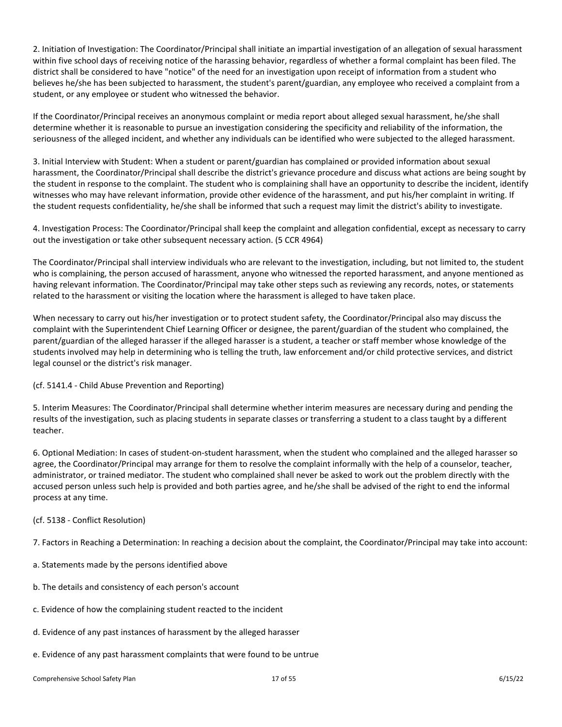2. Initiation of Investigation: The Coordinator/Principal shall initiate an impartial investigation of an allegation of sexual harassment within five school days of receiving notice of the harassing behavior, regardless of whether a formal complaint has been filed. The district shall be considered to have "notice" of the need for an investigation upon receipt of information from a student who believes he/she has been subjected to harassment, the student's parent/guardian, any employee who received a complaint from a student, or any employee or student who witnessed the behavior.

If the Coordinator/Principal receives an anonymous complaint or media report about alleged sexual harassment, he/she shall determine whether it is reasonable to pursue an investigation considering the specificity and reliability of the information, the seriousness of the alleged incident, and whether any individuals can be identified who were subjected to the alleged harassment.

3. Initial Interview with Student: When a student or parent/guardian has complained or provided information about sexual harassment, the Coordinator/Principal shall describe the district's grievance procedure and discuss what actions are being sought by the student in response to the complaint. The student who is complaining shall have an opportunity to describe the incident, identify witnesses who may have relevant information, provide other evidence of the harassment, and put his/her complaint in writing. If the student requests confidentiality, he/she shall be informed that such a request may limit the district's ability to investigate.

4. Investigation Process: The Coordinator/Principal shall keep the complaint and allegation confidential, except as necessary to carry out the investigation or take other subsequent necessary action. (5 CCR 4964)

The Coordinator/Principal shall interview individuals who are relevant to the investigation, including, but not limited to, the student who is complaining, the person accused of harassment, anyone who witnessed the reported harassment, and anyone mentioned as having relevant information. The Coordinator/Principal may take other steps such as reviewing any records, notes, or statements related to the harassment or visiting the location where the harassment is alleged to have taken place.

When necessary to carry out his/her investigation or to protect student safety, the Coordinator/Principal also may discuss the complaint with the Superintendent Chief Learning Officer or designee, the parent/guardian of the student who complained, the parent/guardian of the alleged harasser if the alleged harasser is a student, a teacher or staff member whose knowledge of the students involved may help in determining who is telling the truth, law enforcement and/or child protective services, and district legal counsel or the district's risk manager.

# (cf. 5141.4 - Child Abuse Prevention and Reporting)

5. Interim Measures: The Coordinator/Principal shall determine whether interim measures are necessary during and pending the results of the investigation, such as placing students in separate classes or transferring a student to a class taught by a different teacher.

6. Optional Mediation: In cases of student-on-student harassment, when the student who complained and the alleged harasser so agree, the Coordinator/Principal may arrange for them to resolve the complaint informally with the help of a counselor, teacher, administrator, or trained mediator. The student who complained shall never be asked to work out the problem directly with the accused person unless such help is provided and both parties agree, and he/she shall be advised of the right to end the informal process at any time.

# (cf. 5138 - Conflict Resolution)

7. Factors in Reaching a Determination: In reaching a decision about the complaint, the Coordinator/Principal may take into account:

- a. Statements made by the persons identified above
- b. The details and consistency of each person's account
- c. Evidence of how the complaining student reacted to the incident
- d. Evidence of any past instances of harassment by the alleged harasser
- e. Evidence of any past harassment complaints that were found to be untrue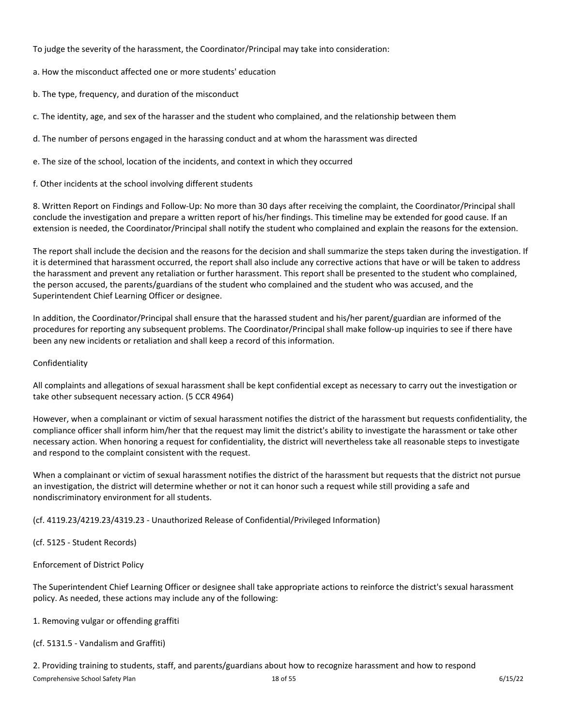To judge the severity of the harassment, the Coordinator/Principal may take into consideration:

a. How the misconduct affected one or more students' education

b. The type, frequency, and duration of the misconduct

c. The identity, age, and sex of the harasser and the student who complained, and the relationship between them

d. The number of persons engaged in the harassing conduct and at whom the harassment was directed

e. The size of the school, location of the incidents, and context in which they occurred

f. Other incidents at the school involving different students

8. Written Report on Findings and Follow-Up: No more than 30 days after receiving the complaint, the Coordinator/Principal shall conclude the investigation and prepare a written report of his/her findings. This timeline may be extended for good cause. If an extension is needed, the Coordinator/Principal shall notify the student who complained and explain the reasons for the extension.

The report shall include the decision and the reasons for the decision and shall summarize the steps taken during the investigation. If it is determined that harassment occurred, the report shall also include any corrective actions that have or will be taken to address the harassment and prevent any retaliation or further harassment. This report shall be presented to the student who complained, the person accused, the parents/guardians of the student who complained and the student who was accused, and the Superintendent Chief Learning Officer or designee.

In addition, the Coordinator/Principal shall ensure that the harassed student and his/her parent/guardian are informed of the procedures for reporting any subsequent problems. The Coordinator/Principal shall make follow-up inquiries to see if there have been any new incidents or retaliation and shall keep a record of this information.

# Confidentiality

All complaints and allegations of sexual harassment shall be kept confidential except as necessary to carry out the investigation or take other subsequent necessary action. (5 CCR 4964)

However, when a complainant or victim of sexual harassment notifies the district of the harassment but requests confidentiality, the compliance officer shall inform him/her that the request may limit the district's ability to investigate the harassment or take other necessary action. When honoring a request for confidentiality, the district will nevertheless take all reasonable steps to investigate and respond to the complaint consistent with the request.

When a complainant or victim of sexual harassment notifies the district of the harassment but requests that the district not pursue an investigation, the district will determine whether or not it can honor such a request while still providing a safe and nondiscriminatory environment for all students.

(cf. 4119.23/4219.23/4319.23 - Unauthorized Release of Confidential/Privileged Information)

(cf. 5125 - Student Records)

Enforcement of District Policy

The Superintendent Chief Learning Officer or designee shall take appropriate actions to reinforce the district's sexual harassment policy. As needed, these actions may include any of the following:

1. Removing vulgar or offending graffiti

(cf. 5131.5 - Vandalism and Graffiti)

Comprehensive School Safety Plan 6/15/22 2. Providing training to students, staff, and parents/guardians about how to recognize harassment and how to respond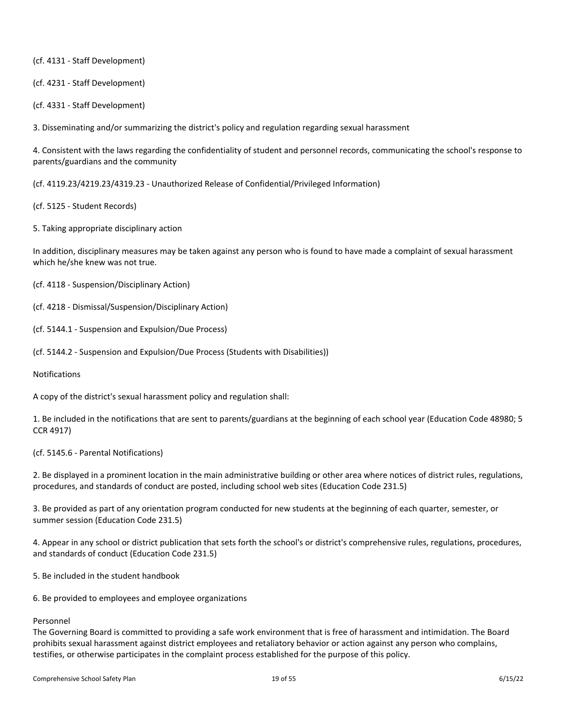(cf. 4131 - Staff Development)

(cf. 4231 - Staff Development)

(cf. 4331 - Staff Development)

3. Disseminating and/or summarizing the district's policy and regulation regarding sexual harassment

4. Consistent with the laws regarding the confidentiality of student and personnel records, communicating the school's response to parents/guardians and the community

(cf. 4119.23/4219.23/4319.23 - Unauthorized Release of Confidential/Privileged Information)

(cf. 5125 - Student Records)

5. Taking appropriate disciplinary action

In addition, disciplinary measures may be taken against any person who is found to have made a complaint of sexual harassment which he/she knew was not true.

(cf. 4118 - Suspension/Disciplinary Action)

(cf. 4218 - Dismissal/Suspension/Disciplinary Action)

(cf. 5144.1 - Suspension and Expulsion/Due Process)

(cf. 5144.2 - Suspension and Expulsion/Due Process (Students with Disabilities))

Notifications

A copy of the district's sexual harassment policy and regulation shall:

1. Be included in the notifications that are sent to parents/guardians at the beginning of each school year (Education Code 48980; 5 CCR 4917)

(cf. 5145.6 - Parental Notifications)

2. Be displayed in a prominent location in the main administrative building or other area where notices of district rules, regulations, procedures, and standards of conduct are posted, including school web sites (Education Code 231.5)

3. Be provided as part of any orientation program conducted for new students at the beginning of each quarter, semester, or summer session (Education Code 231.5)

4. Appear in any school or district publication that sets forth the school's or district's comprehensive rules, regulations, procedures, and standards of conduct (Education Code 231.5)

5. Be included in the student handbook

6. Be provided to employees and employee organizations

# Personnel

The Governing Board is committed to providing a safe work environment that is free of harassment and intimidation. The Board prohibits sexual harassment against district employees and retaliatory behavior or action against any person who complains, testifies, or otherwise participates in the complaint process established for the purpose of this policy.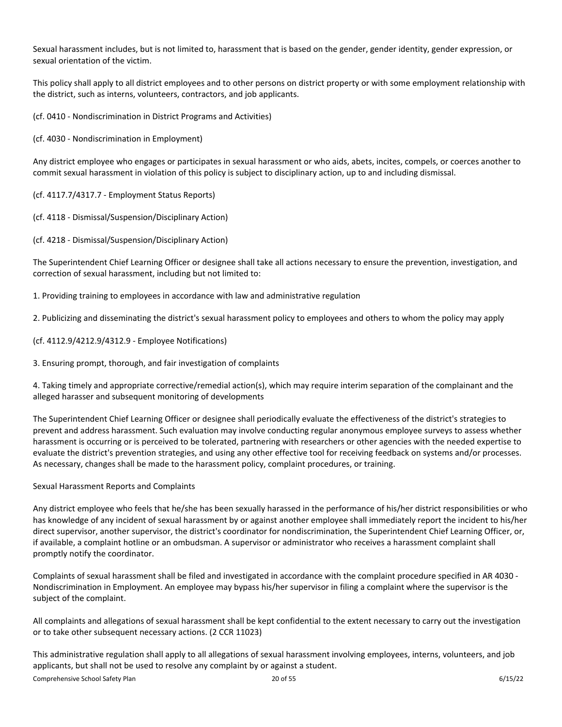Sexual harassment includes, but is not limited to, harassment that is based on the gender, gender identity, gender expression, or sexual orientation of the victim.

This policy shall apply to all district employees and to other persons on district property or with some employment relationship with the district, such as interns, volunteers, contractors, and job applicants.

(cf. 0410 - Nondiscrimination in District Programs and Activities)

(cf. 4030 - Nondiscrimination in Employment)

Any district employee who engages or participates in sexual harassment or who aids, abets, incites, compels, or coerces another to commit sexual harassment in violation of this policy is subject to disciplinary action, up to and including dismissal.

- (cf. 4117.7/4317.7 Employment Status Reports)
- (cf. 4118 Dismissal/Suspension/Disciplinary Action)
- (cf. 4218 Dismissal/Suspension/Disciplinary Action)

The Superintendent Chief Learning Officer or designee shall take all actions necessary to ensure the prevention, investigation, and correction of sexual harassment, including but not limited to:

1. Providing training to employees in accordance with law and administrative regulation

2. Publicizing and disseminating the district's sexual harassment policy to employees and others to whom the policy may apply

- (cf. 4112.9/4212.9/4312.9 Employee Notifications)
- 3. Ensuring prompt, thorough, and fair investigation of complaints

4. Taking timely and appropriate corrective/remedial action(s), which may require interim separation of the complainant and the alleged harasser and subsequent monitoring of developments

The Superintendent Chief Learning Officer or designee shall periodically evaluate the effectiveness of the district's strategies to prevent and address harassment. Such evaluation may involve conducting regular anonymous employee surveys to assess whether harassment is occurring or is perceived to be tolerated, partnering with researchers or other agencies with the needed expertise to evaluate the district's prevention strategies, and using any other effective tool for receiving feedback on systems and/or processes. As necessary, changes shall be made to the harassment policy, complaint procedures, or training.

# Sexual Harassment Reports and Complaints

Any district employee who feels that he/she has been sexually harassed in the performance of his/her district responsibilities or who has knowledge of any incident of sexual harassment by or against another employee shall immediately report the incident to his/her direct supervisor, another supervisor, the district's coordinator for nondiscrimination, the Superintendent Chief Learning Officer, or, if available, a complaint hotline or an ombudsman. A supervisor or administrator who receives a harassment complaint shall promptly notify the coordinator.

Complaints of sexual harassment shall be filed and investigated in accordance with the complaint procedure specified in AR 4030 - Nondiscrimination in Employment. An employee may bypass his/her supervisor in filing a complaint where the supervisor is the subject of the complaint.

All complaints and allegations of sexual harassment shall be kept confidential to the extent necessary to carry out the investigation or to take other subsequent necessary actions. (2 CCR 11023)

This administrative regulation shall apply to all allegations of sexual harassment involving employees, interns, volunteers, and job applicants, but shall not be used to resolve any complaint by or against a student.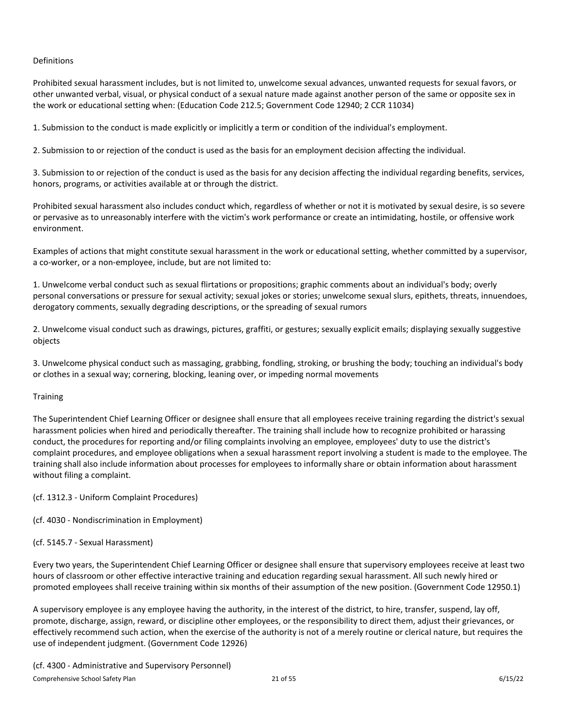# Definitions

Prohibited sexual harassment includes, but is not limited to, unwelcome sexual advances, unwanted requests for sexual favors, or other unwanted verbal, visual, or physical conduct of a sexual nature made against another person of the same or opposite sex in the work or educational setting when: (Education Code 212.5; Government Code 12940; 2 CCR 11034)

1. Submission to the conduct is made explicitly or implicitly a term or condition of the individual's employment.

2. Submission to or rejection of the conduct is used as the basis for an employment decision affecting the individual.

3. Submission to or rejection of the conduct is used as the basis for any decision affecting the individual regarding benefits, services, honors, programs, or activities available at or through the district.

Prohibited sexual harassment also includes conduct which, regardless of whether or not it is motivated by sexual desire, is so severe or pervasive as to unreasonably interfere with the victim's work performance or create an intimidating, hostile, or offensive work environment.

Examples of actions that might constitute sexual harassment in the work or educational setting, whether committed by a supervisor, a co-worker, or a non-employee, include, but are not limited to:

1. Unwelcome verbal conduct such as sexual flirtations or propositions; graphic comments about an individual's body; overly personal conversations or pressure for sexual activity; sexual jokes or stories; unwelcome sexual slurs, epithets, threats, innuendoes, derogatory comments, sexually degrading descriptions, or the spreading of sexual rumors

2. Unwelcome visual conduct such as drawings, pictures, graffiti, or gestures; sexually explicit emails; displaying sexually suggestive objects

3. Unwelcome physical conduct such as massaging, grabbing, fondling, stroking, or brushing the body; touching an individual's body or clothes in a sexual way; cornering, blocking, leaning over, or impeding normal movements

# **Training**

The Superintendent Chief Learning Officer or designee shall ensure that all employees receive training regarding the district's sexual harassment policies when hired and periodically thereafter. The training shall include how to recognize prohibited or harassing conduct, the procedures for reporting and/or filing complaints involving an employee, employees' duty to use the district's complaint procedures, and employee obligations when a sexual harassment report involving a student is made to the employee. The training shall also include information about processes for employees to informally share or obtain information about harassment without filing a complaint.

# (cf. 1312.3 - Uniform Complaint Procedures)

(cf. 4030 - Nondiscrimination in Employment)

# (cf. 5145.7 - Sexual Harassment)

Every two years, the Superintendent Chief Learning Officer or designee shall ensure that supervisory employees receive at least two hours of classroom or other effective interactive training and education regarding sexual harassment. All such newly hired or promoted employees shall receive training within six months of their assumption of the new position. (Government Code 12950.1)

A supervisory employee is any employee having the authority, in the interest of the district, to hire, transfer, suspend, lay off, promote, discharge, assign, reward, or discipline other employees, or the responsibility to direct them, adjust their grievances, or effectively recommend such action, when the exercise of the authority is not of a merely routine or clerical nature, but requires the use of independent judgment. (Government Code 12926)

Comprehensive School Safety Plan 6/15/22 (cf. 4300 - Administrative and Supervisory Personnel)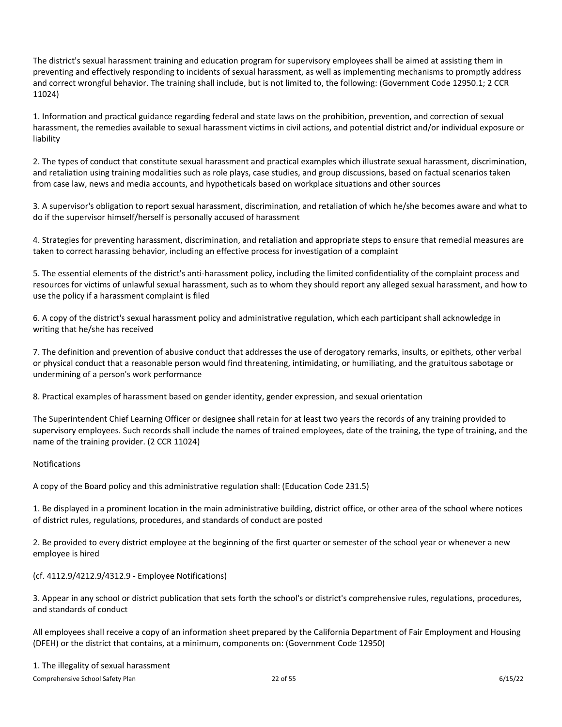The district's sexual harassment training and education program for supervisory employees shall be aimed at assisting them in preventing and effectively responding to incidents of sexual harassment, as well as implementing mechanisms to promptly address and correct wrongful behavior. The training shall include, but is not limited to, the following: (Government Code 12950.1; 2 CCR 11024)

1. Information and practical guidance regarding federal and state laws on the prohibition, prevention, and correction of sexual harassment, the remedies available to sexual harassment victims in civil actions, and potential district and/or individual exposure or liability

2. The types of conduct that constitute sexual harassment and practical examples which illustrate sexual harassment, discrimination, and retaliation using training modalities such as role plays, case studies, and group discussions, based on factual scenarios taken from case law, news and media accounts, and hypotheticals based on workplace situations and other sources

3. A supervisor's obligation to report sexual harassment, discrimination, and retaliation of which he/she becomes aware and what to do if the supervisor himself/herself is personally accused of harassment

4. Strategies for preventing harassment, discrimination, and retaliation and appropriate steps to ensure that remedial measures are taken to correct harassing behavior, including an effective process for investigation of a complaint

5. The essential elements of the district's anti-harassment policy, including the limited confidentiality of the complaint process and resources for victims of unlawful sexual harassment, such as to whom they should report any alleged sexual harassment, and how to use the policy if a harassment complaint is filed

6. A copy of the district's sexual harassment policy and administrative regulation, which each participant shall acknowledge in writing that he/she has received

7. The definition and prevention of abusive conduct that addresses the use of derogatory remarks, insults, or epithets, other verbal or physical conduct that a reasonable person would find threatening, intimidating, or humiliating, and the gratuitous sabotage or undermining of a person's work performance

8. Practical examples of harassment based on gender identity, gender expression, and sexual orientation

The Superintendent Chief Learning Officer or designee shall retain for at least two years the records of any training provided to supervisory employees. Such records shall include the names of trained employees, date of the training, the type of training, and the name of the training provider. (2 CCR 11024)

# Notifications

A copy of the Board policy and this administrative regulation shall: (Education Code 231.5)

1. Be displayed in a prominent location in the main administrative building, district office, or other area of the school where notices of district rules, regulations, procedures, and standards of conduct are posted

2. Be provided to every district employee at the beginning of the first quarter or semester of the school year or whenever a new employee is hired

# (cf. 4112.9/4212.9/4312.9 - Employee Notifications)

3. Appear in any school or district publication that sets forth the school's or district's comprehensive rules, regulations, procedures, and standards of conduct

All employees shall receive a copy of an information sheet prepared by the California Department of Fair Employment and Housing (DFEH) or the district that contains, at a minimum, components on: (Government Code 12950)

# 1. The illegality of sexual harassment

Comprehensive School Safety Plan 6/15/22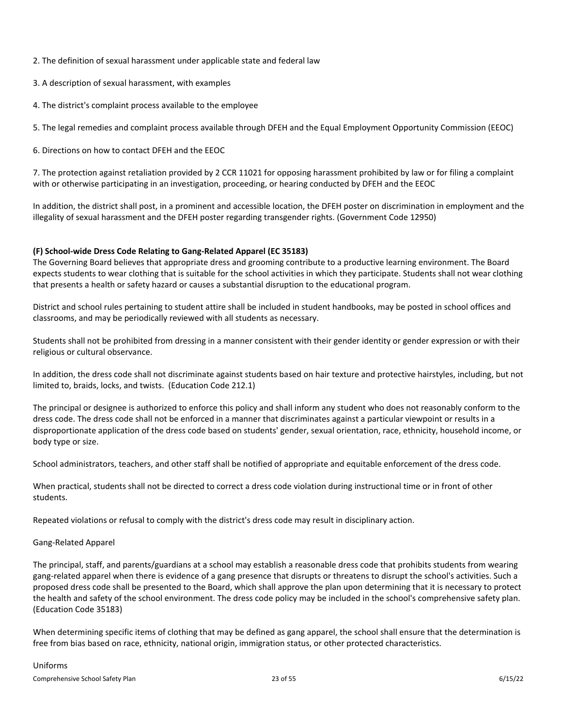2. The definition of sexual harassment under applicable state and federal law

- 3. A description of sexual harassment, with examples
- 4. The district's complaint process available to the employee

5. The legal remedies and complaint process available through DFEH and the Equal Employment Opportunity Commission (EEOC)

6. Directions on how to contact DFEH and the EEOC

7. The protection against retaliation provided by 2 CCR 11021 for opposing harassment prohibited by law or for filing a complaint with or otherwise participating in an investigation, proceeding, or hearing conducted by DFEH and the EEOC

In addition, the district shall post, in a prominent and accessible location, the DFEH poster on discrimination in employment and the illegality of sexual harassment and the DFEH poster regarding transgender rights. (Government Code 12950)

# <span id="page-23-0"></span>**(F) School-wide Dress Code Relating to Gang-Related Apparel (EC 35183)**

The Governing Board believes that appropriate dress and grooming contribute to a productive learning environment. The Board expects students to wear clothing that is suitable for the school activities in which they participate. Students shall not wear clothing that presents a health or safety hazard or causes a substantial disruption to the educational program.

District and school rules pertaining to student attire shall be included in student handbooks, may be posted in school offices and classrooms, and may be periodically reviewed with all students as necessary.

Students shall not be prohibited from dressing in a manner consistent with their gender identity or gender expression or with their religious or cultural observance.

In addition, the dress code shall not discriminate against students based on hair texture and protective hairstyles, including, but not limited to, braids, locks, and twists. (Education Code 212.1)

The principal or designee is authorized to enforce this policy and shall inform any student who does not reasonably conform to the dress code. The dress code shall not be enforced in a manner that discriminates against a particular viewpoint or results in a disproportionate application of the dress code based on students' gender, sexual orientation, race, ethnicity, household income, or body type or size.

School administrators, teachers, and other staff shall be notified of appropriate and equitable enforcement of the dress code.

When practical, students shall not be directed to correct a dress code violation during instructional time or in front of other students.

Repeated violations or refusal to comply with the district's dress code may result in disciplinary action.

# Gang-Related Apparel

The principal, staff, and parents/guardians at a school may establish a reasonable dress code that prohibits students from wearing gang-related apparel when there is evidence of a gang presence that disrupts or threatens to disrupt the school's activities. Such a proposed dress code shall be presented to the Board, which shall approve the plan upon determining that it is necessary to protect the health and safety of the school environment. The dress code policy may be included in the school's comprehensive safety plan. (Education Code 35183)

When determining specific items of clothing that may be defined as gang apparel, the school shall ensure that the determination is free from bias based on race, ethnicity, national origin, immigration status, or other protected characteristics.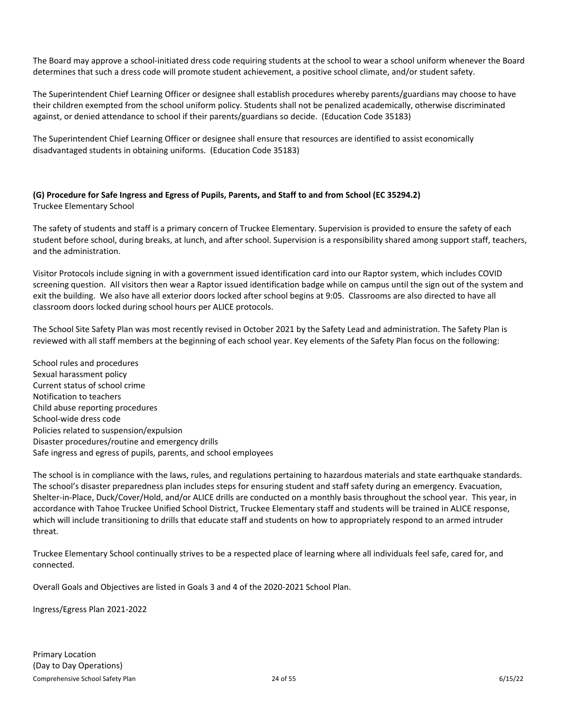The Board may approve a school-initiated dress code requiring students at the school to wear a school uniform whenever the Board determines that such a dress code will promote student achievement, a positive school climate, and/or student safety.

The Superintendent Chief Learning Officer or designee shall establish procedures whereby parents/guardians may choose to have their children exempted from the school uniform policy. Students shall not be penalized academically, otherwise discriminated against, or denied attendance to school if their parents/guardians so decide. (Education Code 35183)

The Superintendent Chief Learning Officer or designee shall ensure that resources are identified to assist economically disadvantaged students in obtaining uniforms. (Education Code 35183)

# <span id="page-24-0"></span>**(G) Procedure for Safe Ingress and Egress of Pupils, Parents, and Staff to and from School (EC 35294.2)** Truckee Elementary School

The safety of students and staff is a primary concern of Truckee Elementary. Supervision is provided to ensure the safety of each student before school, during breaks, at lunch, and after school. Supervision is a responsibility shared among support staff, teachers, and the administration.

Visitor Protocols include signing in with a government issued identification card into our Raptor system, which includes COVID screening question. All visitors then wear a Raptor issued identification badge while on campus until the sign out of the system and exit the building. We also have all exterior doors locked after school begins at 9:05. Classrooms are also directed to have all classroom doors locked during school hours per ALICE protocols.

The School Site Safety Plan was most recently revised in October 2021 by the Safety Lead and administration. The Safety Plan is reviewed with all staff members at the beginning of each school year. Key elements of the Safety Plan focus on the following:

School rules and procedures Sexual harassment policy Current status of school crime Notification to teachers Child abuse reporting procedures School-wide dress code Policies related to suspension/expulsion Disaster procedures/routine and emergency drills Safe ingress and egress of pupils, parents, and school employees

The school is in compliance with the laws, rules, and regulations pertaining to hazardous materials and state earthquake standards. The school's disaster preparedness plan includes steps for ensuring student and staff safety during an emergency. Evacuation, Shelter-in-Place, Duck/Cover/Hold, and/or ALICE drills are conducted on a monthly basis throughout the school year. This year, in accordance with Tahoe Truckee Unified School District, Truckee Elementary staff and students will be trained in ALICE response, which will include transitioning to drills that educate staff and students on how to appropriately respond to an armed intruder threat.

Truckee Elementary School continually strives to be a respected place of learning where all individuals feel safe, cared for, and connected.

Overall Goals and Objectives are listed in Goals 3 and 4 of the 2020-2021 School Plan.

Ingress/Egress Plan 2021-2022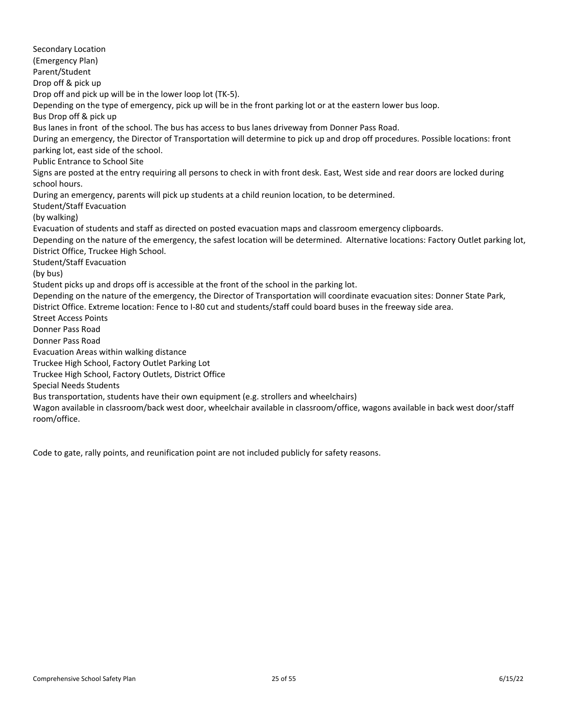Secondary Location (Emergency Plan) Parent/Student Drop off & pick up Drop off and pick up will be in the lower loop lot (TK-5). Depending on the type of emergency, pick up will be in the front parking lot or at the eastern lower bus loop. Bus Drop off & pick up Bus lanes in front of the school. The bus has access to bus lanes driveway from Donner Pass Road. During an emergency, the Director of Transportation will determine to pick up and drop off procedures. Possible locations: front parking lot, east side of the school. Public Entrance to School Site Signs are posted at the entry requiring all persons to check in with front desk. East, West side and rear doors are locked during school hours. During an emergency, parents will pick up students at a child reunion location, to be determined. Student/Staff Evacuation (by walking) Evacuation of students and staff as directed on posted evacuation maps and classroom emergency clipboards. Depending on the nature of the emergency, the safest location will be determined. Alternative locations: Factory Outlet parking lot, District Office, Truckee High School. Student/Staff Evacuation (by bus) Student picks up and drops off is accessible at the front of the school in the parking lot. Depending on the nature of the emergency, the Director of Transportation will coordinate evacuation sites: Donner State Park, District Office. Extreme location: Fence to I-80 cut and students/staff could board buses in the freeway side area. Street Access Points Donner Pass Road Donner Pass Road Evacuation Areas within walking distance Truckee High School, Factory Outlet Parking Lot Truckee High School, Factory Outlets, District Office Special Needs Students Bus transportation, students have their own equipment (e.g. strollers and wheelchairs) Wagon available in classroom/back west door, wheelchair available in classroom/office, wagons available in back west door/staff room/office.

Code to gate, rally points, and reunification point are not included publicly for safety reasons.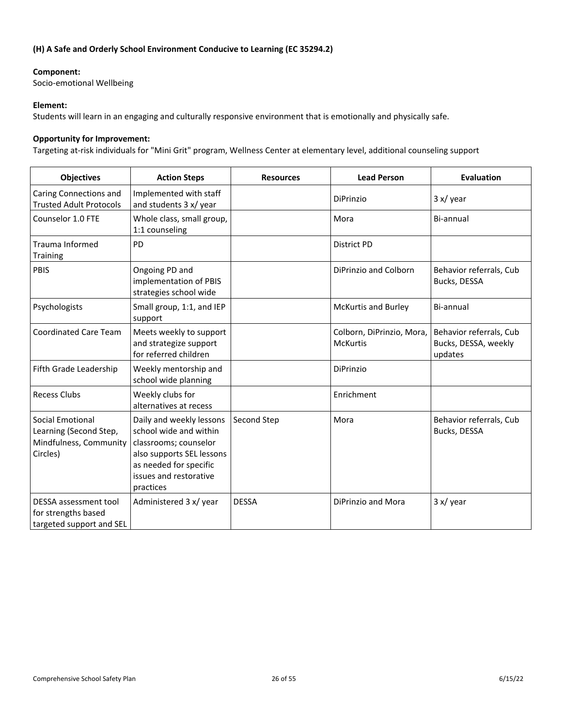# <span id="page-26-0"></span>**(H) A Safe and Orderly School Environment Conducive to Learning (EC 35294.2)**

# **Component:**

Socio-emotional Wellbeing

# **Element:**

Students will learn in an engaging and culturally responsive environment that is emotionally and physically safe.

# **Opportunity for Improvement:**

Targeting at-risk individuals for "Mini Grit" program, Wellness Center at elementary level, additional counseling support

| <b>Objectives</b>                                                                       | <b>Action Steps</b>                                                                                                                                                       | <b>Resources</b> | <b>Lead Person</b>                           | <b>Evaluation</b>                                          |
|-----------------------------------------------------------------------------------------|---------------------------------------------------------------------------------------------------------------------------------------------------------------------------|------------------|----------------------------------------------|------------------------------------------------------------|
| Caring Connections and<br><b>Trusted Adult Protocols</b>                                | Implemented with staff<br>and students 3 x/ year                                                                                                                          |                  | DiPrinzio                                    | 3 x / year                                                 |
| Counselor 1.0 FTE                                                                       | Whole class, small group,<br>1:1 counseling                                                                                                                               |                  | Mora                                         | Bi-annual                                                  |
| Trauma Informed<br>Training                                                             | <b>PD</b>                                                                                                                                                                 |                  | <b>District PD</b>                           |                                                            |
| PBIS                                                                                    | Ongoing PD and<br>implementation of PBIS<br>strategies school wide                                                                                                        |                  | DiPrinzio and Colborn                        | Behavior referrals, Cub<br>Bucks, DESSA                    |
| Psychologists                                                                           | Small group, 1:1, and IEP<br>support                                                                                                                                      |                  | <b>McKurtis and Burley</b>                   | Bi-annual                                                  |
| <b>Coordinated Care Team</b>                                                            | Meets weekly to support<br>and strategize support<br>for referred children                                                                                                |                  | Colborn, DiPrinzio, Mora,<br><b>McKurtis</b> | Behavior referrals, Cub<br>Bucks, DESSA, weekly<br>updates |
| Fifth Grade Leadership                                                                  | Weekly mentorship and<br>school wide planning                                                                                                                             |                  | DiPrinzio                                    |                                                            |
| <b>Recess Clubs</b>                                                                     | Weekly clubs for<br>alternatives at recess                                                                                                                                |                  | Enrichment                                   |                                                            |
| <b>Social Emotional</b><br>Learning (Second Step,<br>Mindfulness, Community<br>Circles) | Daily and weekly lessons<br>school wide and within<br>classrooms; counselor<br>also supports SEL lessons<br>as needed for specific<br>issues and restorative<br>practices | Second Step      | Mora                                         | Behavior referrals, Cub<br>Bucks, DESSA                    |
| DESSA assessment tool<br>for strengths based<br>targeted support and SEL                | Administered 3 x/ year                                                                                                                                                    | <b>DESSA</b>     | DiPrinzio and Mora                           | 3 x / year                                                 |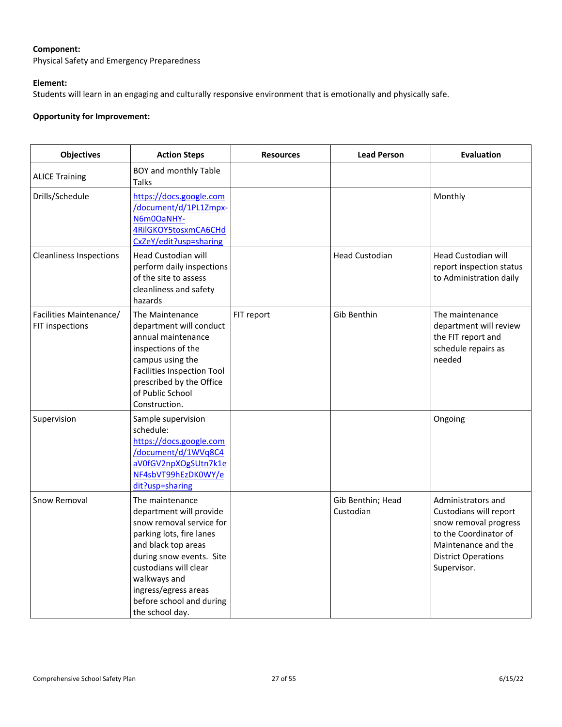# **Component:**

Physical Safety and Emergency Preparedness

# **Element:**

Students will learn in an engaging and culturally responsive environment that is emotionally and physically safe.

# **Opportunity for Improvement:**

| <b>Objectives</b>                          | <b>Action Steps</b>                                                                                                                                                                                                                                                   | <b>Resources</b> | <b>Lead Person</b>             | <b>Evaluation</b>                                                                                                                                                  |
|--------------------------------------------|-----------------------------------------------------------------------------------------------------------------------------------------------------------------------------------------------------------------------------------------------------------------------|------------------|--------------------------------|--------------------------------------------------------------------------------------------------------------------------------------------------------------------|
| <b>ALICE Training</b>                      | BOY and monthly Table<br>Talks                                                                                                                                                                                                                                        |                  |                                |                                                                                                                                                                    |
| Drills/Schedule                            | https://docs.google.com<br>/document/d/1PL1Zmpx-<br>N6m0OaNHY-<br>4RilGKOY5tosxmCA6CHd<br>CxZeY/edit?usp=sharing                                                                                                                                                      |                  |                                | Monthly                                                                                                                                                            |
| <b>Cleanliness Inspections</b>             | <b>Head Custodian will</b><br>perform daily inspections<br>of the site to assess<br>cleanliness and safety<br>hazards                                                                                                                                                 |                  | <b>Head Custodian</b>          | <b>Head Custodian will</b><br>report inspection status<br>to Administration daily                                                                                  |
| Facilities Maintenance/<br>FIT inspections | The Maintenance<br>department will conduct<br>annual maintenance<br>inspections of the<br>campus using the<br><b>Facilities Inspection Tool</b><br>prescribed by the Office<br>of Public School<br>Construction.                                                      | FIT report       | Gib Benthin                    | The maintenance<br>department will review<br>the FIT report and<br>schedule repairs as<br>needed                                                                   |
| Supervision                                | Sample supervision<br>schedule:<br>https://docs.google.com<br>/document/d/1WVq8C4<br>aV0fGV2npXOgSUtn7k1e<br>NF4sbVT99hEzDK0WY/e<br>dit?usp=sharing                                                                                                                   |                  |                                | Ongoing                                                                                                                                                            |
| Snow Removal                               | The maintenance<br>department will provide<br>snow removal service for<br>parking lots, fire lanes<br>and black top areas<br>during snow events. Site<br>custodians will clear<br>walkways and<br>ingress/egress areas<br>before school and during<br>the school day. |                  | Gib Benthin; Head<br>Custodian | Administrators and<br>Custodians will report<br>snow removal progress<br>to the Coordinator of<br>Maintenance and the<br><b>District Operations</b><br>Supervisor. |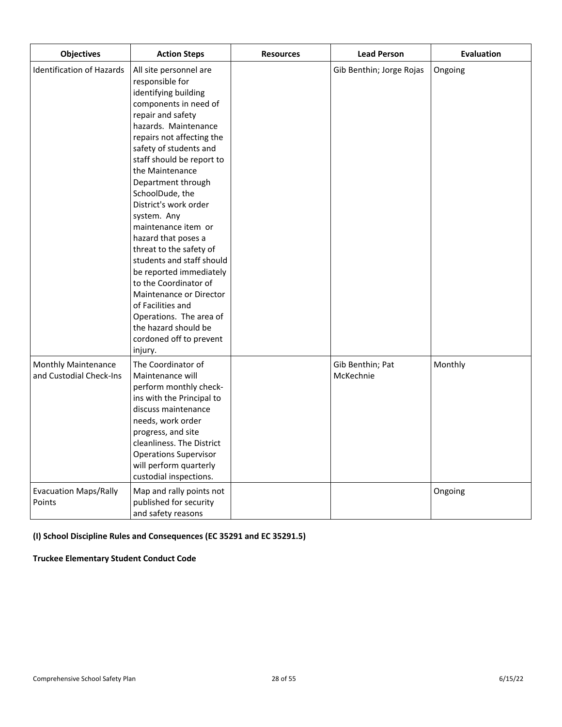| <b>Objectives</b>                                     | <b>Action Steps</b>                                                                                                                                                                                                                                                                                                                                                                                                                                                                                                                                                                                                                | <b>Resources</b> | <b>Lead Person</b>            | <b>Evaluation</b> |
|-------------------------------------------------------|------------------------------------------------------------------------------------------------------------------------------------------------------------------------------------------------------------------------------------------------------------------------------------------------------------------------------------------------------------------------------------------------------------------------------------------------------------------------------------------------------------------------------------------------------------------------------------------------------------------------------------|------------------|-------------------------------|-------------------|
| <b>Identification of Hazards</b>                      | All site personnel are<br>responsible for<br>identifying building<br>components in need of<br>repair and safety<br>hazards. Maintenance<br>repairs not affecting the<br>safety of students and<br>staff should be report to<br>the Maintenance<br>Department through<br>SchoolDude, the<br>District's work order<br>system. Any<br>maintenance item or<br>hazard that poses a<br>threat to the safety of<br>students and staff should<br>be reported immediately<br>to the Coordinator of<br>Maintenance or Director<br>of Facilities and<br>Operations. The area of<br>the hazard should be<br>cordoned off to prevent<br>injury. |                  | Gib Benthin; Jorge Rojas      | Ongoing           |
| <b>Monthly Maintenance</b><br>and Custodial Check-Ins | The Coordinator of<br>Maintenance will<br>perform monthly check-<br>ins with the Principal to<br>discuss maintenance<br>needs, work order<br>progress, and site<br>cleanliness. The District<br><b>Operations Supervisor</b><br>will perform quarterly<br>custodial inspections.                                                                                                                                                                                                                                                                                                                                                   |                  | Gib Benthin; Pat<br>McKechnie | Monthly           |
| <b>Evacuation Maps/Rally</b><br>Points                | Map and rally points not<br>published for security<br>and safety reasons                                                                                                                                                                                                                                                                                                                                                                                                                                                                                                                                                           |                  |                               | Ongoing           |

# <span id="page-28-0"></span>**(I) School Discipline Rules and Consequences (EC 35291 and EC 35291.5)**

# **Truckee Elementary Student Conduct Code**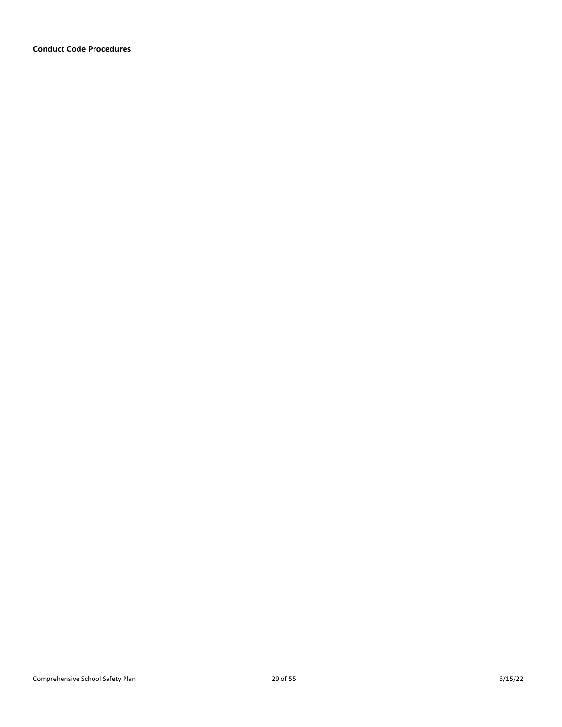**Conduct Code Procedures**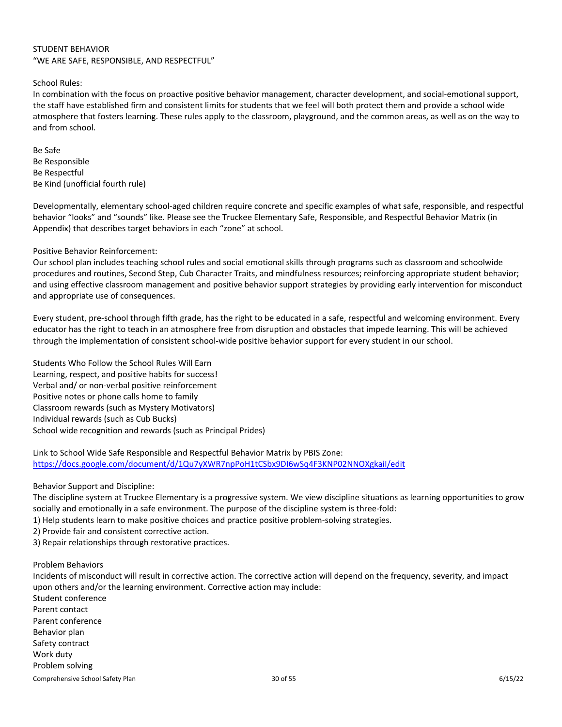# STUDENT BEHAVIOR "WE ARE SAFE, RESPONSIBLE, AND RESPECTFUL"

School Rules:

In combination with the focus on proactive positive behavior management, character development, and social-emotional support, the staff have established firm and consistent limits for students that we feel will both protect them and provide a school wide atmosphere that fosters learning. These rules apply to the classroom, playground, and the common areas, as well as on the way to and from school.

Be Safe Be Responsible Be Respectful Be Kind (unofficial fourth rule)

Developmentally, elementary school-aged children require concrete and specific examples of what safe, responsible, and respectful behavior "looks" and "sounds" like. Please see the Truckee Elementary Safe, Responsible, and Respectful Behavior Matrix (in Appendix) that describes target behaviors in each "zone" at school.

# Positive Behavior Reinforcement:

Our school plan includes teaching school rules and social emotional skills through programs such as classroom and schoolwide procedures and routines, Second Step, Cub Character Traits, and mindfulness resources; reinforcing appropriate student behavior; and using effective classroom management and positive behavior support strategies by providing early intervention for misconduct and appropriate use of consequences.

Every student, pre-school through fifth grade, has the right to be educated in a safe, respectful and welcoming environment. Every educator has the right to teach in an atmosphere free from disruption and obstacles that impede learning. This will be achieved through the implementation of consistent school-wide positive behavior support for every student in our school.

Students Who Follow the School Rules Will Earn Learning, respect, and positive habits for success! Verbal and/ or non-verbal positive reinforcement Positive notes or phone calls home to family Classroom rewards (such as Mystery Motivators) Individual rewards (such as Cub Bucks) School wide recognition and rewards (such as Principal Prides)

Link to School Wide Safe Responsible and Respectful Behavior Matrix by PBIS Zone: <https://docs.google.com/document/d/1Qu7yXWR7npPoH1tCSbx9DI6wSq4F3KNP02NNOXgkaiI/edit>

Behavior Support and Discipline:

The discipline system at Truckee Elementary is a progressive system. We view discipline situations as learning opportunities to grow socially and emotionally in a safe environment. The purpose of the discipline system is three-fold:

1) Help students learn to make positive choices and practice positive problem-solving strategies.

2) Provide fair and consistent corrective action.

3) Repair relationships through restorative practices.

Problem Behaviors

Incidents of misconduct will result in corrective action. The corrective action will depend on the frequency, severity, and impact upon others and/or the learning environment. Corrective action may include: Student conference Parent contact Parent conference Behavior plan Safety contract Work duty Problem solving

Comprehensive School Safety Plan 6/15/22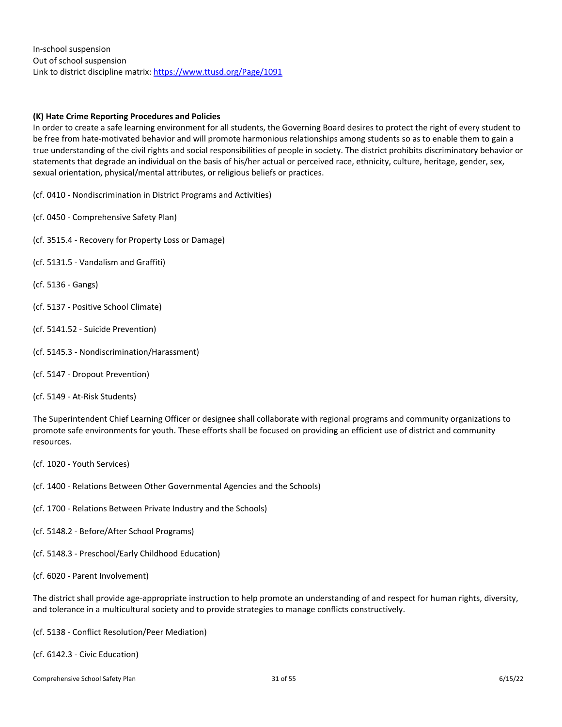In-school suspension Out of school suspension Link to district discipline matrix:<https://www.ttusd.org/Page/1091>

# <span id="page-31-0"></span>**(K) Hate Crime Reporting Procedures and Policies**

In order to create a safe learning environment for all students, the Governing Board desires to protect the right of every student to be free from hate-motivated behavior and will promote harmonious relationships among students so as to enable them to gain a true understanding of the civil rights and social responsibilities of people in society. The district prohibits discriminatory behavior or statements that degrade an individual on the basis of his/her actual or perceived race, ethnicity, culture, heritage, gender, sex, sexual orientation, physical/mental attributes, or religious beliefs or practices.

(cf. 0410 - Nondiscrimination in District Programs and Activities)

- (cf. 0450 Comprehensive Safety Plan)
- (cf. 3515.4 Recovery for Property Loss or Damage)
- (cf. 5131.5 Vandalism and Graffiti)
- (cf. 5136 Gangs)
- (cf. 5137 Positive School Climate)
- (cf. 5141.52 Suicide Prevention)
- (cf. 5145.3 Nondiscrimination/Harassment)
- (cf. 5147 Dropout Prevention)

(cf. 5149 - At-Risk Students)

The Superintendent Chief Learning Officer or designee shall collaborate with regional programs and community organizations to promote safe environments for youth. These efforts shall be focused on providing an efficient use of district and community resources.

- (cf. 1020 Youth Services)
- (cf. 1400 Relations Between Other Governmental Agencies and the Schools)
- (cf. 1700 Relations Between Private Industry and the Schools)
- (cf. 5148.2 Before/After School Programs)
- (cf. 5148.3 Preschool/Early Childhood Education)
- (cf. 6020 Parent Involvement)

The district shall provide age-appropriate instruction to help promote an understanding of and respect for human rights, diversity, and tolerance in a multicultural society and to provide strategies to manage conflicts constructively.

(cf. 5138 - Conflict Resolution/Peer Mediation)

(cf. 6142.3 - Civic Education)

Comprehensive School Safety Plan 6/15/22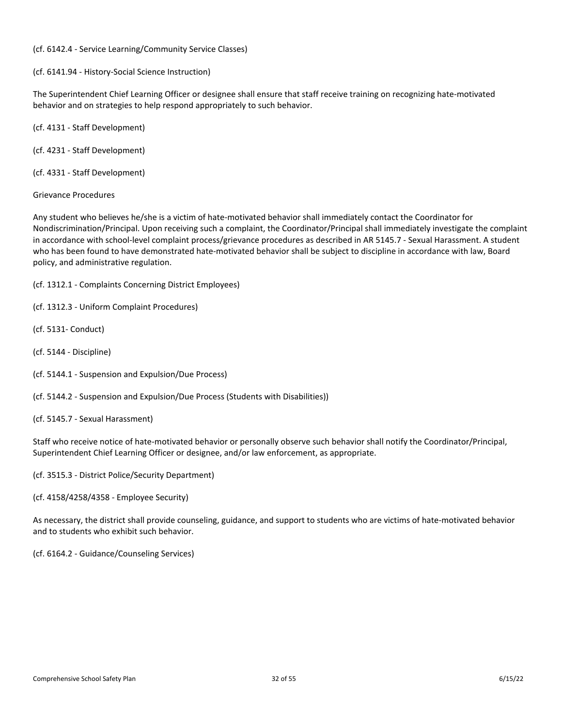# (cf. 6142.4 - Service Learning/Community Service Classes)

(cf. 6141.94 - History-Social Science Instruction)

The Superintendent Chief Learning Officer or designee shall ensure that staff receive training on recognizing hate-motivated behavior and on strategies to help respond appropriately to such behavior.

(cf. 4131 - Staff Development)

(cf. 4231 - Staff Development)

(cf. 4331 - Staff Development)

Grievance Procedures

Any student who believes he/she is a victim of hate-motivated behavior shall immediately contact the Coordinator for Nondiscrimination/Principal. Upon receiving such a complaint, the Coordinator/Principal shall immediately investigate the complaint in accordance with school-level complaint process/grievance procedures as described in AR 5145.7 - Sexual Harassment. A student who has been found to have demonstrated hate-motivated behavior shall be subject to discipline in accordance with law, Board policy, and administrative regulation.

(cf. 1312.1 - Complaints Concerning District Employees)

(cf. 1312.3 - Uniform Complaint Procedures)

- (cf. 5131- Conduct)
- (cf. 5144 Discipline)
- (cf. 5144.1 Suspension and Expulsion/Due Process)
- (cf. 5144.2 Suspension and Expulsion/Due Process (Students with Disabilities))
- (cf. 5145.7 Sexual Harassment)

Staff who receive notice of hate-motivated behavior or personally observe such behavior shall notify the Coordinator/Principal, Superintendent Chief Learning Officer or designee, and/or law enforcement, as appropriate.

(cf. 3515.3 - District Police/Security Department)

(cf. 4158/4258/4358 - Employee Security)

As necessary, the district shall provide counseling, guidance, and support to students who are victims of hate-motivated behavior and to students who exhibit such behavior.

(cf. 6164.2 - Guidance/Counseling Services)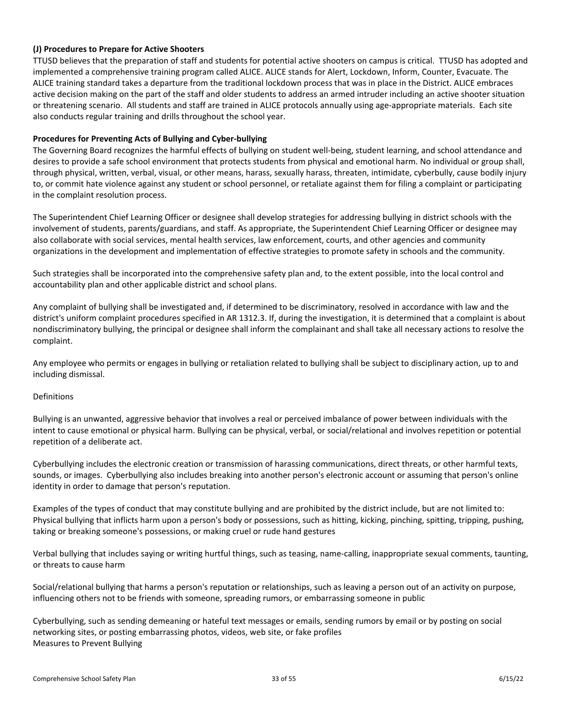# <span id="page-33-0"></span>**(J) Procedures to Prepare for Active Shooters**

TTUSD believes that the preparation of staff and students for potential active shooters on campus is critical. TTUSD has adopted and implemented a comprehensive training program called ALICE. ALICE stands for Alert, Lockdown, Inform, Counter, Evacuate. The ALICE training standard takes a departure from the traditional lockdown process that was in place in the District. ALICE embraces active decision making on the part of the staff and older students to address an armed intruder including an active shooter situation or threatening scenario. All students and staff are trained in ALICE protocols annually using age-appropriate materials. Each site also conducts regular training and drills throughout the school year.

# <span id="page-33-1"></span>**Procedures for Preventing Acts of Bullying and Cyber-bullying**

The Governing Board recognizes the harmful effects of bullying on student well-being, student learning, and school attendance and desires to provide a safe school environment that protects students from physical and emotional harm. No individual or group shall, through physical, written, verbal, visual, or other means, harass, sexually harass, threaten, intimidate, cyberbully, cause bodily injury to, or commit hate violence against any student or school personnel, or retaliate against them for filing a complaint or participating in the complaint resolution process.

The Superintendent Chief Learning Officer or designee shall develop strategies for addressing bullying in district schools with the involvement of students, parents/guardians, and staff. As appropriate, the Superintendent Chief Learning Officer or designee may also collaborate with social services, mental health services, law enforcement, courts, and other agencies and community organizations in the development and implementation of effective strategies to promote safety in schools and the community.

Such strategies shall be incorporated into the comprehensive safety plan and, to the extent possible, into the local control and accountability plan and other applicable district and school plans.

Any complaint of bullying shall be investigated and, if determined to be discriminatory, resolved in accordance with law and the district's uniform complaint procedures specified in AR 1312.3. If, during the investigation, it is determined that a complaint is about nondiscriminatory bullying, the principal or designee shall inform the complainant and shall take all necessary actions to resolve the complaint.

Any employee who permits or engages in bullying or retaliation related to bullying shall be subject to disciplinary action, up to and including dismissal.

# Definitions

Bullying is an unwanted, aggressive behavior that involves a real or perceived imbalance of power between individuals with the intent to cause emotional or physical harm. Bullying can be physical, verbal, or social/relational and involves repetition or potential repetition of a deliberate act.

Cyberbullying includes the electronic creation or transmission of harassing communications, direct threats, or other harmful texts, sounds, or images. Cyberbullying also includes breaking into another person's electronic account or assuming that person's online identity in order to damage that person's reputation.

Examples of the types of conduct that may constitute bullying and are prohibited by the district include, but are not limited to: Physical bullying that inflicts harm upon a person's body or possessions, such as hitting, kicking, pinching, spitting, tripping, pushing, taking or breaking someone's possessions, or making cruel or rude hand gestures

Verbal bullying that includes saying or writing hurtful things, such as teasing, name-calling, inappropriate sexual comments, taunting, or threats to cause harm

Social/relational bullying that harms a person's reputation or relationships, such as leaving a person out of an activity on purpose, influencing others not to be friends with someone, spreading rumors, or embarrassing someone in public

Cyberbullying, such as sending demeaning or hateful text messages or emails, sending rumors by email or by posting on social networking sites, or posting embarrassing photos, videos, web site, or fake profiles Measures to Prevent Bullying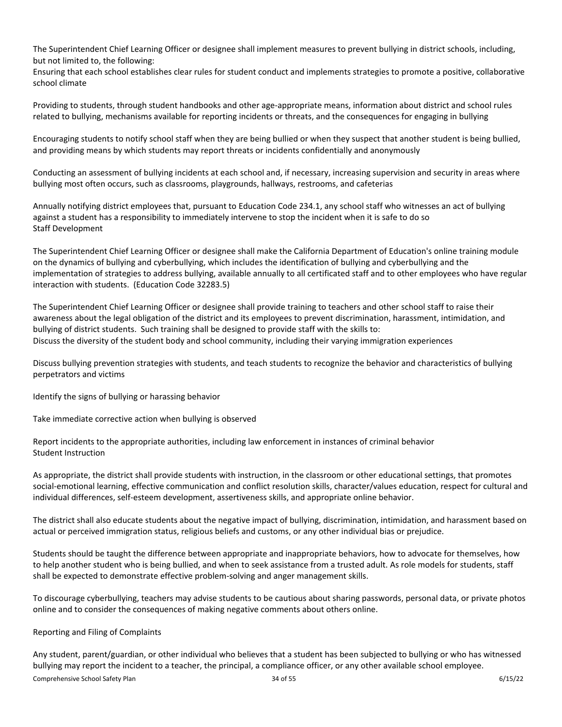The Superintendent Chief Learning Officer or designee shall implement measures to prevent bullying in district schools, including, but not limited to, the following:

Ensuring that each school establishes clear rules for student conduct and implements strategies to promote a positive, collaborative school climate

Providing to students, through student handbooks and other age-appropriate means, information about district and school rules related to bullying, mechanisms available for reporting incidents or threats, and the consequences for engaging in bullying

Encouraging students to notify school staff when they are being bullied or when they suspect that another student is being bullied, and providing means by which students may report threats or incidents confidentially and anonymously

Conducting an assessment of bullying incidents at each school and, if necessary, increasing supervision and security in areas where bullying most often occurs, such as classrooms, playgrounds, hallways, restrooms, and cafeterias

Annually notifying district employees that, pursuant to Education Code 234.1, any school staff who witnesses an act of bullying against a student has a responsibility to immediately intervene to stop the incident when it is safe to do so Staff Development

The Superintendent Chief Learning Officer or designee shall make the California Department of Education's online training module on the dynamics of bullying and cyberbullying, which includes the identification of bullying and cyberbullying and the implementation of strategies to address bullying, available annually to all certificated staff and to other employees who have regular interaction with students. (Education Code 32283.5)

The Superintendent Chief Learning Officer or designee shall provide training to teachers and other school staff to raise their awareness about the legal obligation of the district and its employees to prevent discrimination, harassment, intimidation, and bullying of district students. Such training shall be designed to provide staff with the skills to: Discuss the diversity of the student body and school community, including their varying immigration experiences

Discuss bullying prevention strategies with students, and teach students to recognize the behavior and characteristics of bullying perpetrators and victims

Identify the signs of bullying or harassing behavior

Take immediate corrective action when bullying is observed

Report incidents to the appropriate authorities, including law enforcement in instances of criminal behavior Student Instruction

As appropriate, the district shall provide students with instruction, in the classroom or other educational settings, that promotes social-emotional learning, effective communication and conflict resolution skills, character/values education, respect for cultural and individual differences, self-esteem development, assertiveness skills, and appropriate online behavior.

The district shall also educate students about the negative impact of bullying, discrimination, intimidation, and harassment based on actual or perceived immigration status, religious beliefs and customs, or any other individual bias or prejudice.

Students should be taught the difference between appropriate and inappropriate behaviors, how to advocate for themselves, how to help another student who is being bullied, and when to seek assistance from a trusted adult. As role models for students, staff shall be expected to demonstrate effective problem-solving and anger management skills.

To discourage cyberbullying, teachers may advise students to be cautious about sharing passwords, personal data, or private photos online and to consider the consequences of making negative comments about others online.

# Reporting and Filing of Complaints

Any student, parent/guardian, or other individual who believes that a student has been subjected to bullying or who has witnessed bullying may report the incident to a teacher, the principal, a compliance officer, or any other available school employee.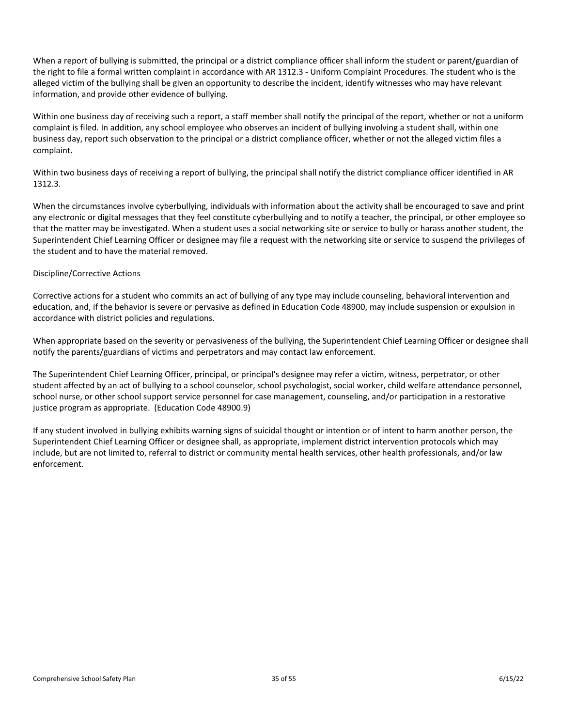When a report of bullying is submitted, the principal or a district compliance officer shall inform the student or parent/guardian of the right to file a formal written complaint in accordance with AR 1312.3 - Uniform Complaint Procedures. The student who is the alleged victim of the bullying shall be given an opportunity to describe the incident, identify witnesses who may have relevant information, and provide other evidence of bullying.

Within one business day of receiving such a report, a staff member shall notify the principal of the report, whether or not a uniform complaint is filed. In addition, any school employee who observes an incident of bullying involving a student shall, within one business day, report such observation to the principal or a district compliance officer, whether or not the alleged victim files a complaint.

Within two business days of receiving a report of bullying, the principal shall notify the district compliance officer identified in AR 1312.3.

When the circumstances involve cyberbullying, individuals with information about the activity shall be encouraged to save and print any electronic or digital messages that they feel constitute cyberbullying and to notify a teacher, the principal, or other employee so that the matter may be investigated. When a student uses a social networking site or service to bully or harass another student, the Superintendent Chief Learning Officer or designee may file a request with the networking site or service to suspend the privileges of the student and to have the material removed.

# Discipline/Corrective Actions

Corrective actions for a student who commits an act of bullying of any type may include counseling, behavioral intervention and education, and, if the behavior is severe or pervasive as defined in Education Code 48900, may include suspension or expulsion in accordance with district policies and regulations.

When appropriate based on the severity or pervasiveness of the bullying, the Superintendent Chief Learning Officer or designee shall notify the parents/guardians of victims and perpetrators and may contact law enforcement.

The Superintendent Chief Learning Officer, principal, or principal's designee may refer a victim, witness, perpetrator, or other student affected by an act of bullying to a school counselor, school psychologist, social worker, child welfare attendance personnel, school nurse, or other school support service personnel for case management, counseling, and/or participation in a restorative justice program as appropriate. (Education Code 48900.9)

If any student involved in bullying exhibits warning signs of suicidal thought or intention or of intent to harm another person, the Superintendent Chief Learning Officer or designee shall, as appropriate, implement district intervention protocols which may include, but are not limited to, referral to district or community mental health services, other health professionals, and/or law enforcement.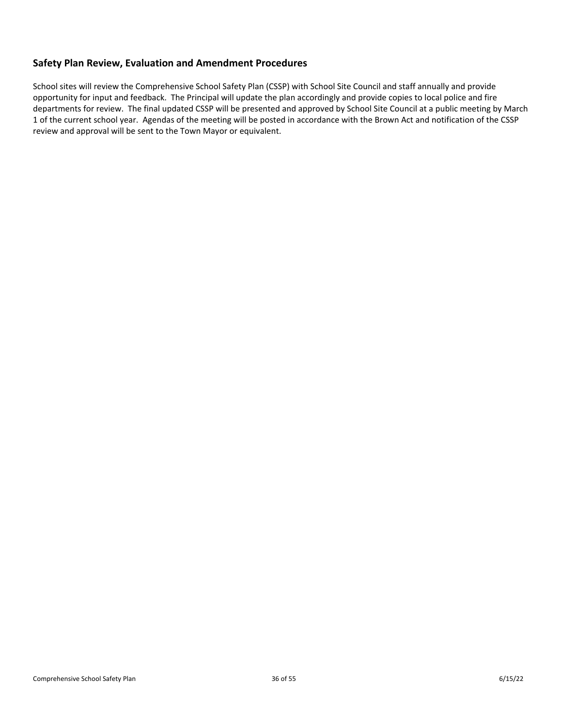# <span id="page-36-0"></span>**Safety Plan Review, Evaluation and Amendment Procedures**

School sites will review the Comprehensive School Safety Plan (CSSP) with School Site Council and staff annually and provide opportunity for input and feedback. The Principal will update the plan accordingly and provide copies to local police and fire departments for review. The final updated CSSP will be presented and approved by School Site Council at a public meeting by March 1 of the current school year. Agendas of the meeting will be posted in accordance with the Brown Act and notification of the CSSP review and approval will be sent to the Town Mayor or equivalent.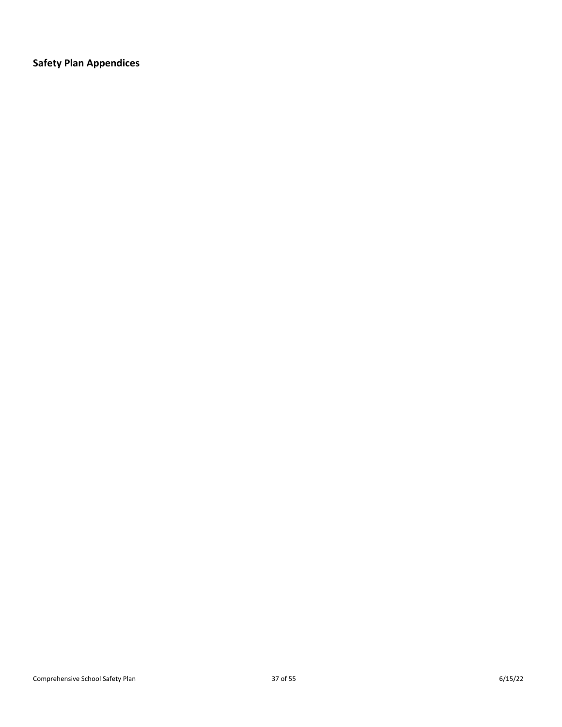<span id="page-37-0"></span>**Safety Plan Appendices**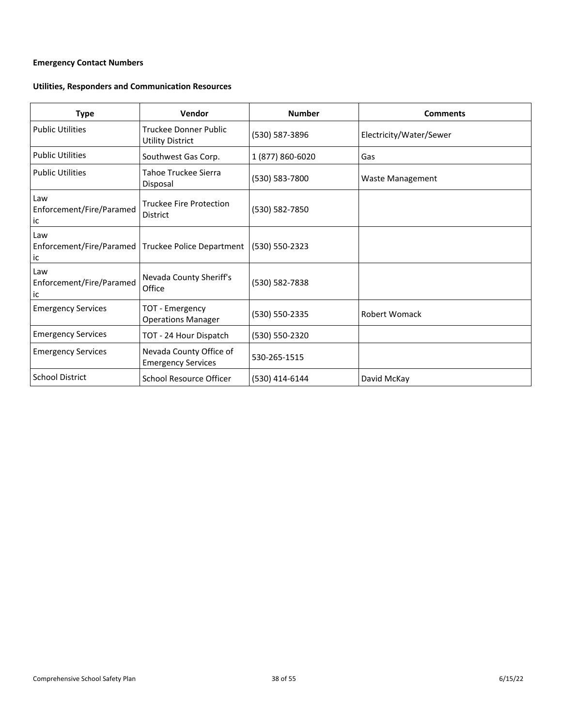# <span id="page-38-0"></span>**Emergency Contact Numbers**

# **Utilities, Responders and Communication Resources**

| <b>Type</b>                           | Vendor                                               | <b>Number</b>    | <b>Comments</b>         |
|---------------------------------------|------------------------------------------------------|------------------|-------------------------|
| <b>Public Utilities</b>               | Truckee Donner Public<br><b>Utility District</b>     | (530) 587-3896   | Electricity/Water/Sewer |
| <b>Public Utilities</b>               | Southwest Gas Corp.                                  | 1 (877) 860-6020 | Gas                     |
| <b>Public Utilities</b>               | Tahoe Truckee Sierra<br>Disposal                     | (530) 583-7800   | Waste Management        |
| Law<br>Enforcement/Fire/Paramed<br>ic | <b>Truckee Fire Protection</b><br><b>District</b>    | (530) 582-7850   |                         |
| Law<br>Enforcement/Fire/Paramed<br>ic | Truckee Police Department                            | (530) 550-2323   |                         |
| Law<br>Enforcement/Fire/Paramed<br>ic | Nevada County Sheriff's<br>Office                    | (530) 582-7838   |                         |
| <b>Emergency Services</b>             | TOT - Emergency<br><b>Operations Manager</b>         | (530) 550-2335   | Robert Womack           |
| <b>Emergency Services</b>             | TOT - 24 Hour Dispatch                               | (530) 550-2320   |                         |
| <b>Emergency Services</b>             | Nevada County Office of<br><b>Emergency Services</b> | 530-265-1515     |                         |
| <b>School District</b>                | School Resource Officer                              | (530) 414-6144   | David McKay             |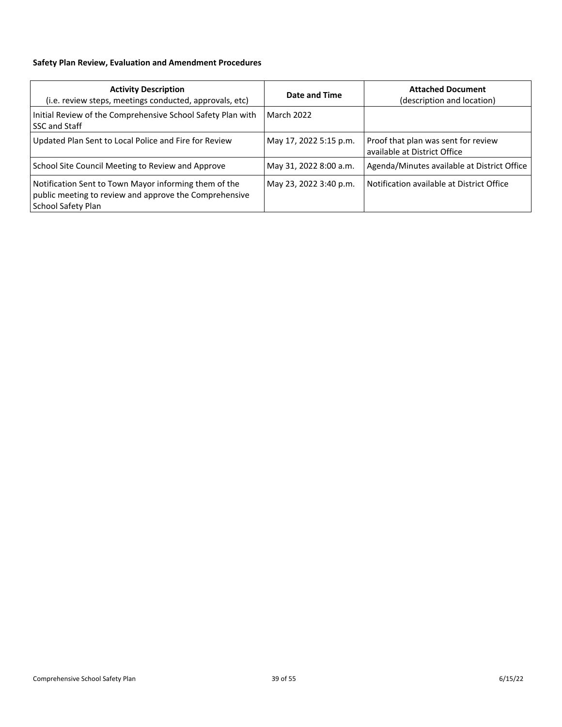# <span id="page-39-0"></span>**Safety Plan Review, Evaluation and Amendment Procedures**

| <b>Activity Description</b><br>(i.e. review steps, meetings conducted, approvals, etc)                                                | Date and Time          | <b>Attached Document</b><br>(description and location)              |
|---------------------------------------------------------------------------------------------------------------------------------------|------------------------|---------------------------------------------------------------------|
| Initial Review of the Comprehensive School Safety Plan with<br>SSC and Staff                                                          | <b>March 2022</b>      |                                                                     |
| Updated Plan Sent to Local Police and Fire for Review                                                                                 | May 17, 2022 5:15 p.m. | Proof that plan was sent for review<br>available at District Office |
| School Site Council Meeting to Review and Approve                                                                                     | May 31, 2022 8:00 a.m. | Agenda/Minutes available at District Office                         |
| Notification Sent to Town Mayor informing them of the<br>public meeting to review and approve the Comprehensive<br>School Safety Plan | May 23, 2022 3:40 p.m. | Notification available at District Office                           |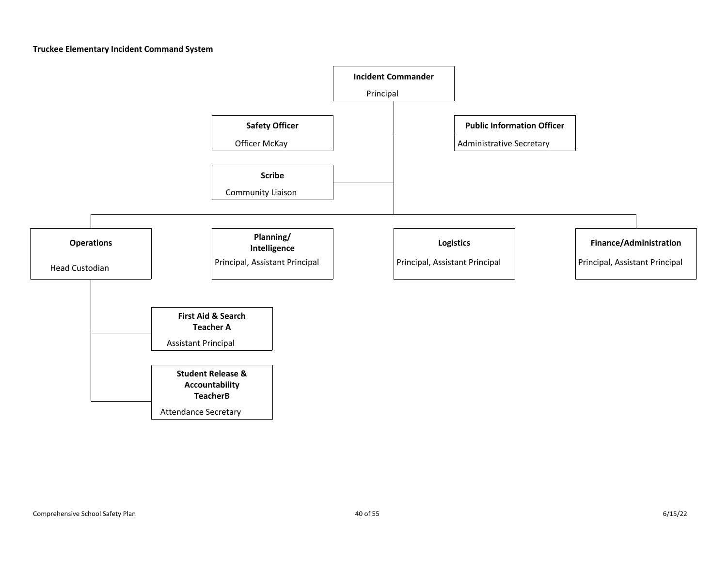**Truckee Elementary Incident Command System**

<span id="page-40-0"></span>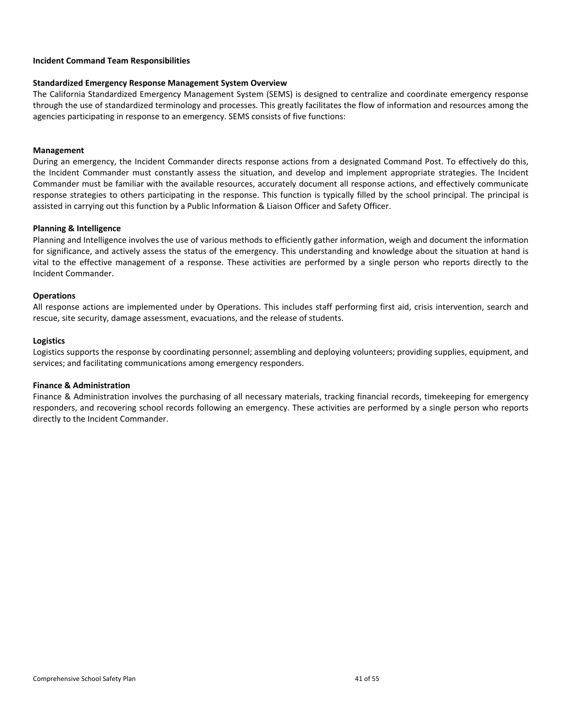# <span id="page-41-0"></span>**Incident Command Team Responsibilities**

# **Standardized Emergency Response Management System Overview**

The California Standardized Emergency Management System (SEMS) is designed to centralize and coordinate emergency response through the use of standardized terminology and processes. This greatly facilitates the flow of information and resources among the agencies participating in response to an emergency. SEMS consists of five functions:

# **Management**

During an emergency, the Incident Commander directs response actions from a designated Command Post. To effectively do this, the Incident Commander must constantly assess the situation, and develop and implement appropriate strategies. The Incident Commander must be familiar with the available resources, accurately document all response actions, and effectively communicate response strategies to others participating in the response. This function is typically filled by the school principal. The principal is assisted in carrying out this function by a Public Information & Liaison Officer and Safety Officer.

# **Planning & Intelligence**

Planning and Intelligence involves the use of various methods to efficiently gather information, weigh and document the information for significance, and actively assess the status of the emergency. This understanding and knowledge about the situation at hand is vital to the effective management of a response. These activities are performed by a single person who reports directly to the Incident Commander.

# **Operations**

All response actions are implemented under by Operations. This includes staff performing first aid, crisis intervention, search and rescue, site security, damage assessment, evacuations, and the release of students.

# **Logistics**

Logistics supports the response by coordinating personnel; assembling and deploying volunteers; providing supplies, equipment, and services; and facilitating communications among emergency responders.

# **Finance & Administration**

Finance & Administration involves the purchasing of all necessary materials, tracking financial records, timekeeping for emergency responders, and recovering school records following an emergency. These activities are performed by a single person who reports directly to the Incident Commander.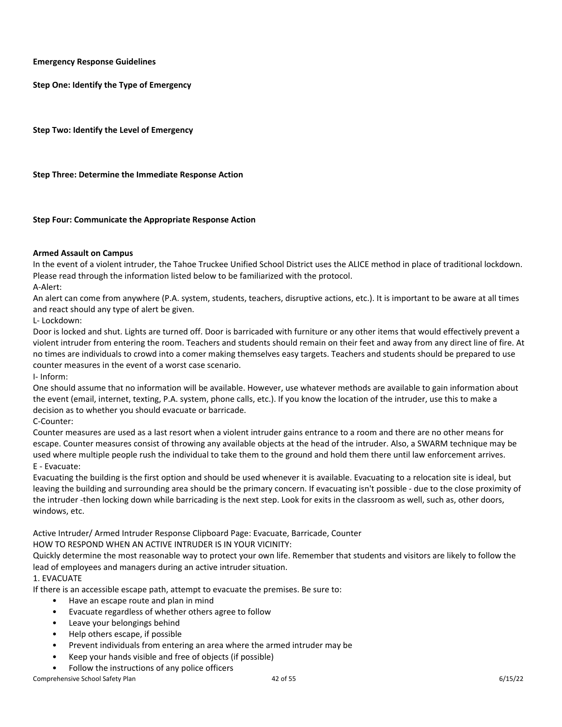<span id="page-42-0"></span>**Emergency Response Guidelines**

<span id="page-42-1"></span>**Step One: Identify the Type of Emergency**

<span id="page-42-2"></span>**Step Two: Identify the Level of Emergency**

<span id="page-42-3"></span>**Step Three: Determine the Immediate Response Action**

<span id="page-42-4"></span>**Step Four: Communicate the Appropriate Response Action**

# <span id="page-42-5"></span>**Armed Assault on Campus**

In the event of a violent intruder, the Tahoe Truckee Unified School District uses the ALICE method in place of traditional lockdown. Please read through the information listed below to be familiarized with the protocol.

A-Alert:

An alert can come from anywhere (P.A. system, students, teachers, disruptive actions, etc.). It is important to be aware at all times and react should any type of alert be given.

L- Lockdown:

Door is locked and shut. Lights are turned off. Door is barricaded with furniture or any other items that would effectively prevent a violent intruder from entering the room. Teachers and students should remain on their feet and away from any direct line of fire. At no times are individuals to crowd into a comer making themselves easy targets. Teachers and students should be prepared to use counter measures in the event of a worst case scenario.

I- Inform:

One should assume that no information will be available. However, use whatever methods are available to gain information about the event (email, internet, texting, P.A. system, phone calls, etc.). If you know the location of the intruder, use this to make a decision as to whether you should evacuate or barricade.

C-Counter:

Counter measures are used as a last resort when a violent intruder gains entrance to a room and there are no other means for escape. Counter measures consist of throwing any available objects at the head of the intruder. Also, a SWARM technique may be used where multiple people rush the individual to take them to the ground and hold them there until law enforcement arrives. E - Evacuate:

Evacuating the building is the first option and should be used whenever it is available. Evacuating to a relocation site is ideal, but leaving the building and surrounding area should be the primary concern. If evacuating isn't possible - due to the close proximity of the intruder -then locking down while barricading is the next step. Look for exits in the classroom as well, such as, other doors, windows, etc.

Active Intruder/ Armed Intruder Response Clipboard Page: Evacuate, Barricade, Counter HOW TO RESPOND WHEN AN ACTIVE INTRUDER IS IN YOUR VICINITY:

Quickly determine the most reasonable way to protect your own life. Remember that students and visitors are likely to follow the lead of employees and managers during an active intruder situation.

# 1. EVACUATE

If there is an accessible escape path, attempt to evacuate the premises. Be sure to:

- Have an escape route and plan in mind
- Evacuate regardless of whether others agree to follow
- Leave your belongings behind
- Help others escape, if possible
- Prevent individuals from entering an area where the armed intruder may be
- Keep your hands visible and free of objects (if possible)
- Follow the instructions of any police officers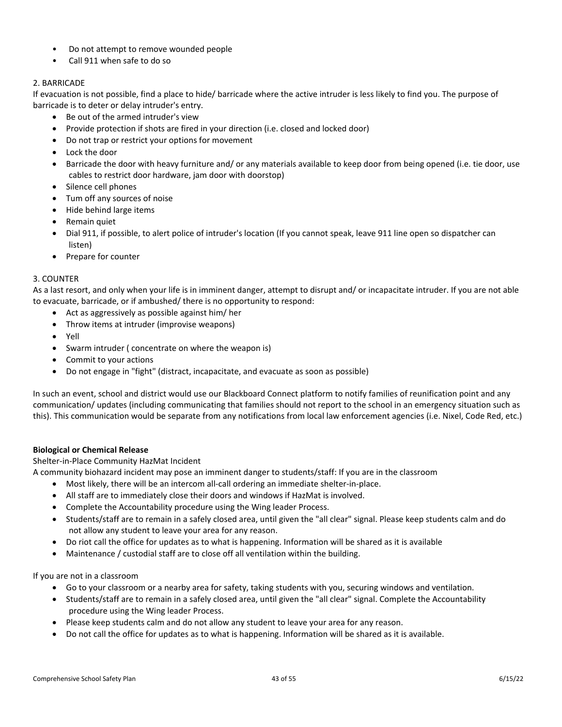- Do not attempt to remove wounded people
- Call 911 when safe to do so

# 2. BARRICADE

If evacuation is not possible, find a place to hide/ barricade where the active intruder is less likely to find you. The purpose of barricade is to deter or delay intruder's entry.

- Be out of the armed intruder's view
- Provide protection if shots are fired in your direction (i.e. closed and locked door)
- Do not trap or restrict your options for movement
- Lock the door
- Barricade the door with heavy furniture and/ or any materials available to keep door from being opened (i.e. tie door, use cables to restrict door hardware, jam door with doorstop)
- Silence cell phones
- Tum off any sources of noise
- Hide behind large items
- Remain quiet
- Dial 911, if possible, to alert police of intruder's location (If you cannot speak, leave 911 line open so dispatcher can listen)
- Prepare for counter

# 3. COUNTER

As a last resort, and only when your life is in imminent danger, attempt to disrupt and/ or incapacitate intruder. If you are not able to evacuate, barricade, or if ambushed/ there is no opportunity to respond:

- Act as aggressively as possible against him/ her
- Throw items at intruder (improvise weapons)
- Yell
- Swarm intruder ( concentrate on where the weapon is)
- Commit to your actions
- Do not engage in "fight" (distract, incapacitate, and evacuate as soon as possible)

In such an event, school and district would use our Blackboard Connect platform to notify families of reunification point and any communication/ updates (including communicating that families should not report to the school in an emergency situation such as this). This communication would be separate from any notifications from local law enforcement agencies (i.e. Nixel, Code Red, etc.)

# <span id="page-43-0"></span>**Biological or Chemical Release**

Shelter-in-Place Community HazMat Incident

A community biohazard incident may pose an imminent danger to students/staff: If you are in the classroom

- Most likely, there will be an intercom all-call ordering an immediate shelter-in-place.
- All staff are to immediately close their doors and windows if HazMat is involved.
- Complete the Accountability procedure using the Wing leader Process.
- Students/staff are to remain in a safely closed area, until given the "all clear" signal. Please keep students calm and do not allow any student to leave your area for any reason.
- Do riot call the office for updates as to what is happening. Information will be shared as it is available
- Maintenance / custodial staff are to close off all ventilation within the building.

# If you are not in a classroom

- Go to your classroom or a nearby area for safety, taking students with you, securing windows and ventilation.
- Students/staff are to remain in a safely closed area, until given the "all clear" signal. Complete the Accountability procedure using the Wing leader Process.
- Please keep students calm and do not allow any student to leave your area for any reason.
- Do not call the office for updates as to what is happening. Information will be shared as it is available.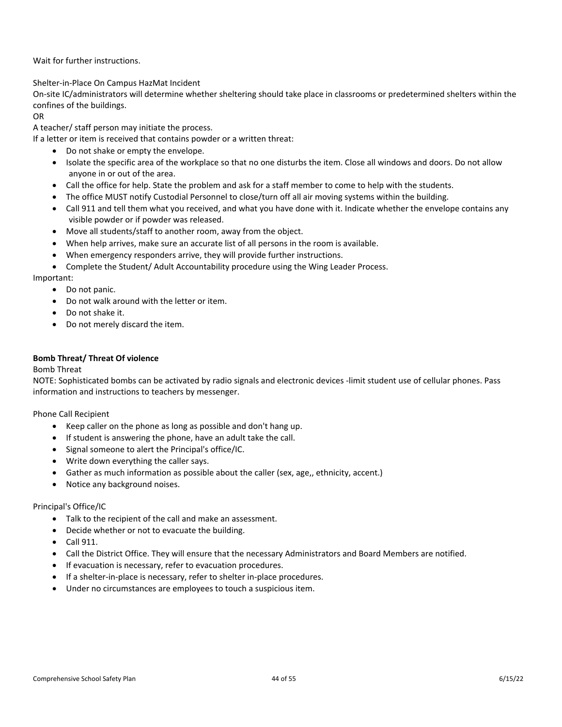Wait for further instructions.

Shelter-in-Place On Campus HazMat Incident

On-site IC/administrators will determine whether sheltering should take place in classrooms or predetermined shelters within the confines of the buildings.

# OR

A teacher/ staff person may initiate the process.

If a letter or item is received that contains powder or a written threat:

- Do not shake or empty the envelope.
- Isolate the specific area of the workplace so that no one disturbs the item. Close all windows and doors. Do not allow anyone in or out of the area.
- Call the office for help. State the problem and ask for a staff member to come to help with the students.
- The office MUST notify Custodial Personnel to close/turn off all air moving systems within the building.
- Call 911 and tell them what you received, and what you have done with it. Indicate whether the envelope contains any visible powder or if powder was released.
- Move all students/staff to another room, away from the object.
- When help arrives, make sure an accurate list of all persons in the room is available.
- When emergency responders arrive, they will provide further instructions.
- Complete the Student/ Adult Accountability procedure using the Wing Leader Process.

Important:

- Do not panic.
- Do not walk around with the letter or item.
- Do not shake it.
- Do not merely discard the item.

# <span id="page-44-0"></span>**Bomb Threat/ Threat Of violence**

# Bomb Threat

NOTE: Sophisticated bombs can be activated by radio signals and electronic devices -limit student use of cellular phones. Pass information and instructions to teachers by messenger.

Phone Call Recipient

- Keep caller on the phone as long as possible and don't hang up.
- If student is answering the phone, have an adult take the call.
- Signal someone to alert the Principal's office/IC.
- Write down everything the caller says.
- Gather as much information as possible about the caller (sex, age,, ethnicity, accent.)
- Notice any background noises.

# Principal's Office/IC

- Talk to the recipient of the call and make an assessment.
- Decide whether or not to evacuate the building.
- Call 911.
- Call the District Office. They will ensure that the necessary Administrators and Board Members are notified.
- If evacuation is necessary, refer to evacuation procedures.
- If a shelter-in-place is necessary, refer to shelter in-place procedures.
- Under no circumstances are employees to touch a suspicious item.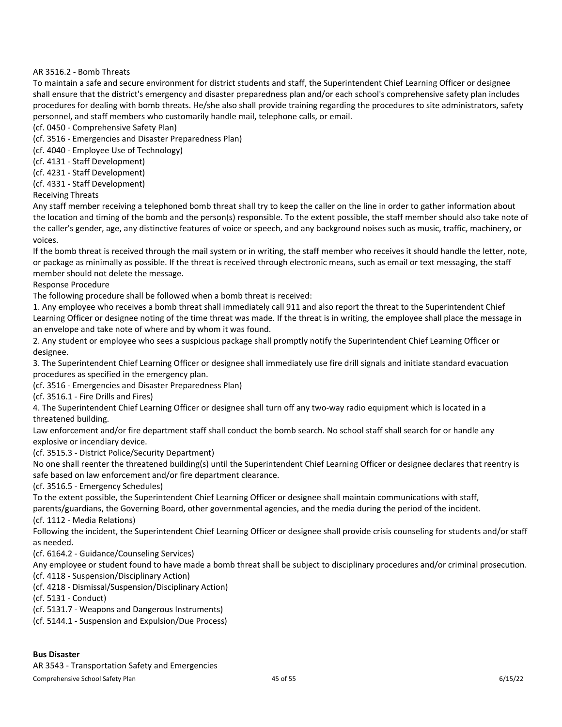# AR 3516.2 - Bomb Threats

To maintain a safe and secure environment for district students and staff, the Superintendent Chief Learning Officer or designee shall ensure that the district's emergency and disaster preparedness plan and/or each school's comprehensive safety plan includes procedures for dealing with bomb threats. He/she also shall provide training regarding the procedures to site administrators, safety personnel, and staff members who customarily handle mail, telephone calls, or email.

- (cf. 0450 Comprehensive Safety Plan)
- (cf. 3516 Emergencies and Disaster Preparedness Plan)
- (cf. 4040 Employee Use of Technology)
- (cf. 4131 Staff Development)
- (cf. 4231 Staff Development)
- (cf. 4331 Staff Development)

Receiving Threats

Any staff member receiving a telephoned bomb threat shall try to keep the caller on the line in order to gather information about the location and timing of the bomb and the person(s) responsible. To the extent possible, the staff member should also take note of the caller's gender, age, any distinctive features of voice or speech, and any background noises such as music, traffic, machinery, or voices.

If the bomb threat is received through the mail system or in writing, the staff member who receives it should handle the letter, note, or package as minimally as possible. If the threat is received through electronic means, such as email or text messaging, the staff member should not delete the message.

Response Procedure

The following procedure shall be followed when a bomb threat is received:

1. Any employee who receives a bomb threat shall immediately call 911 and also report the threat to the Superintendent Chief Learning Officer or designee noting of the time threat was made. If the threat is in writing, the employee shall place the message in an envelope and take note of where and by whom it was found.

2. Any student or employee who sees a suspicious package shall promptly notify the Superintendent Chief Learning Officer or designee.

3. The Superintendent Chief Learning Officer or designee shall immediately use fire drill signals and initiate standard evacuation procedures as specified in the emergency plan.

(cf. 3516 - Emergencies and Disaster Preparedness Plan)

(cf. 3516.1 - Fire Drills and Fires)

4. The Superintendent Chief Learning Officer or designee shall turn off any two-way radio equipment which is located in a threatened building.

Law enforcement and/or fire department staff shall conduct the bomb search. No school staff shall search for or handle any explosive or incendiary device.

(cf. 3515.3 - District Police/Security Department)

No one shall reenter the threatened building(s) until the Superintendent Chief Learning Officer or designee declares that reentry is safe based on law enforcement and/or fire department clearance.

(cf. 3516.5 - Emergency Schedules)

To the extent possible, the Superintendent Chief Learning Officer or designee shall maintain communications with staff,

parents/guardians, the Governing Board, other governmental agencies, and the media during the period of the incident. (cf. 1112 - Media Relations)

Following the incident, the Superintendent Chief Learning Officer or designee shall provide crisis counseling for students and/or staff as needed.

(cf. 6164.2 - Guidance/Counseling Services)

Any employee or student found to have made a bomb threat shall be subject to disciplinary procedures and/or criminal prosecution. (cf. 4118 - Suspension/Disciplinary Action)

(cf. 4218 - Dismissal/Suspension/Disciplinary Action)

(cf. 5131 - Conduct)

(cf. 5131.7 - Weapons and Dangerous Instruments)

(cf. 5144.1 - Suspension and Expulsion/Due Process)

# <span id="page-45-0"></span>**Bus Disaster**

AR 3543 - Transportation Safety and Emergencies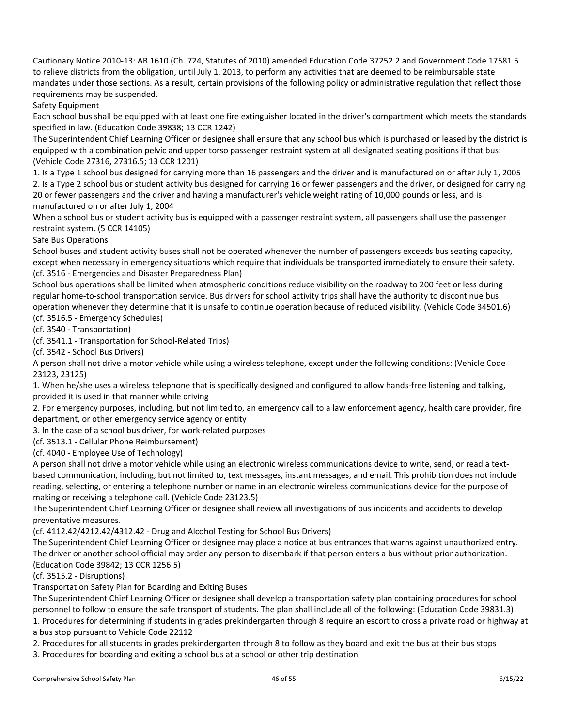Cautionary Notice 2010-13: AB 1610 (Ch. 724, Statutes of 2010) amended Education Code 37252.2 and Government Code 17581.5 to relieve districts from the obligation, until July 1, 2013, to perform any activities that are deemed to be reimbursable state mandates under those sections. As a result, certain provisions of the following policy or administrative regulation that reflect those requirements may be suspended.

Safety Equipment

Each school bus shall be equipped with at least one fire extinguisher located in the driver's compartment which meets the standards specified in law. (Education Code 39838; 13 CCR 1242)

The Superintendent Chief Learning Officer or designee shall ensure that any school bus which is purchased or leased by the district is equipped with a combination pelvic and upper torso passenger restraint system at all designated seating positions if that bus: (Vehicle Code 27316, 27316.5; 13 CCR 1201)

1. Is a Type 1 school bus designed for carrying more than 16 passengers and the driver and is manufactured on or after July 1, 2005 2. Is a Type 2 school bus or student activity bus designed for carrying 16 or fewer passengers and the driver, or designed for carrying 20 or fewer passengers and the driver and having a manufacturer's vehicle weight rating of 10,000 pounds or less, and is manufactured on or after July 1, 2004

When a school bus or student activity bus is equipped with a passenger restraint system, all passengers shall use the passenger restraint system. (5 CCR 14105)

Safe Bus Operations

School buses and student activity buses shall not be operated whenever the number of passengers exceeds bus seating capacity, except when necessary in emergency situations which require that individuals be transported immediately to ensure their safety. (cf. 3516 - Emergencies and Disaster Preparedness Plan)

School bus operations shall be limited when atmospheric conditions reduce visibility on the roadway to 200 feet or less during regular home-to-school transportation service. Bus drivers for school activity trips shall have the authority to discontinue bus operation whenever they determine that it is unsafe to continue operation because of reduced visibility. (Vehicle Code 34501.6)

(cf. 3516.5 - Emergency Schedules)

(cf. 3540 - Transportation)

(cf. 3541.1 - Transportation for School-Related Trips)

(cf. 3542 - School Bus Drivers)

A person shall not drive a motor vehicle while using a wireless telephone, except under the following conditions: (Vehicle Code 23123, 23125)

1. When he/she uses a wireless telephone that is specifically designed and configured to allow hands-free listening and talking, provided it is used in that manner while driving

2. For emergency purposes, including, but not limited to, an emergency call to a law enforcement agency, health care provider, fire department, or other emergency service agency or entity

3. In the case of a school bus driver, for work-related purposes

(cf. 3513.1 - Cellular Phone Reimbursement)

(cf. 4040 - Employee Use of Technology)

A person shall not drive a motor vehicle while using an electronic wireless communications device to write, send, or read a textbased communication, including, but not limited to, text messages, instant messages, and email. This prohibition does not include reading, selecting, or entering a telephone number or name in an electronic wireless communications device for the purpose of making or receiving a telephone call. (Vehicle Code 23123.5)

The Superintendent Chief Learning Officer or designee shall review all investigations of bus incidents and accidents to develop preventative measures.

(cf. 4112.42/4212.42/4312.42 - Drug and Alcohol Testing for School Bus Drivers)

The Superintendent Chief Learning Officer or designee may place a notice at bus entrances that warns against unauthorized entry. The driver or another school official may order any person to disembark if that person enters a bus without prior authorization. (Education Code 39842; 13 CCR 1256.5)

(cf. 3515.2 - Disruptions)

Transportation Safety Plan for Boarding and Exiting Buses

The Superintendent Chief Learning Officer or designee shall develop a transportation safety plan containing procedures for school personnel to follow to ensure the safe transport of students. The plan shall include all of the following: (Education Code 39831.3) 1. Procedures for determining if students in grades prekindergarten through 8 require an escort to cross a private road or highway at a bus stop pursuant to Vehicle Code 22112

2. Procedures for all students in grades prekindergarten through 8 to follow as they board and exit the bus at their bus stops

3. Procedures for boarding and exiting a school bus at a school or other trip destination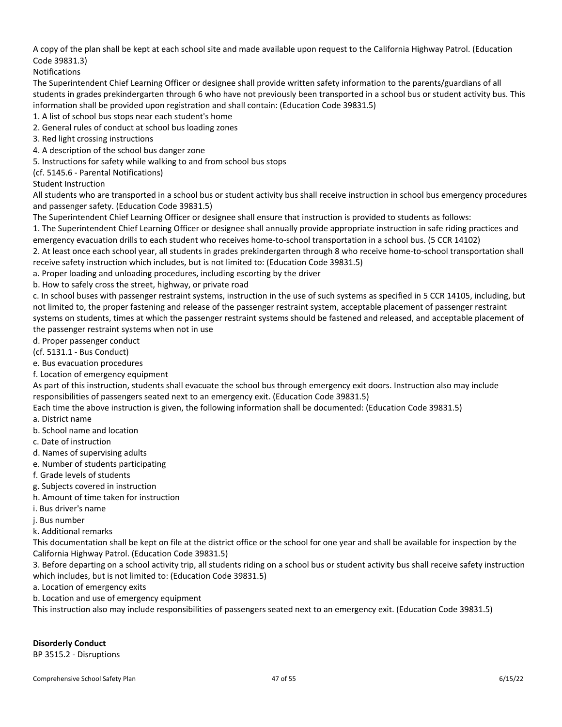A copy of the plan shall be kept at each school site and made available upon request to the California Highway Patrol. (Education Code 39831.3)

Notifications

The Superintendent Chief Learning Officer or designee shall provide written safety information to the parents/guardians of all students in grades prekindergarten through 6 who have not previously been transported in a school bus or student activity bus. This information shall be provided upon registration and shall contain: (Education Code 39831.5)

1. A list of school bus stops near each student's home

2. General rules of conduct at school bus loading zones

3. Red light crossing instructions

4. A description of the school bus danger zone

5. Instructions for safety while walking to and from school bus stops

(cf. 5145.6 - Parental Notifications)

Student Instruction

All students who are transported in a school bus or student activity bus shall receive instruction in school bus emergency procedures and passenger safety. (Education Code 39831.5)

The Superintendent Chief Learning Officer or designee shall ensure that instruction is provided to students as follows:

1. The Superintendent Chief Learning Officer or designee shall annually provide appropriate instruction in safe riding practices and emergency evacuation drills to each student who receives home-to-school transportation in a school bus. (5 CCR 14102)

2. At least once each school year, all students in grades prekindergarten through 8 who receive home-to-school transportation shall receive safety instruction which includes, but is not limited to: (Education Code 39831.5)

a. Proper loading and unloading procedures, including escorting by the driver

b. How to safely cross the street, highway, or private road

c. In school buses with passenger restraint systems, instruction in the use of such systems as specified in 5 CCR 14105, including, but not limited to, the proper fastening and release of the passenger restraint system, acceptable placement of passenger restraint systems on students, times at which the passenger restraint systems should be fastened and released, and acceptable placement of the passenger restraint systems when not in use

d. Proper passenger conduct

(cf. 5131.1 - Bus Conduct)

e. Bus evacuation procedures

f. Location of emergency equipment

As part of this instruction, students shall evacuate the school bus through emergency exit doors. Instruction also may include responsibilities of passengers seated next to an emergency exit. (Education Code 39831.5)

Each time the above instruction is given, the following information shall be documented: (Education Code 39831.5)

a. District name

b. School name and location

c. Date of instruction

d. Names of supervising adults

e. Number of students participating

f. Grade levels of students

g. Subjects covered in instruction

h. Amount of time taken for instruction

i. Bus driver's name

j. Bus number

k. Additional remarks

This documentation shall be kept on file at the district office or the school for one year and shall be available for inspection by the California Highway Patrol. (Education Code 39831.5)

3. Before departing on a school activity trip, all students riding on a school bus or student activity bus shall receive safety instruction which includes, but is not limited to: (Education Code 39831.5)

a. Location of emergency exits

b. Location and use of emergency equipment

This instruction also may include responsibilities of passengers seated next to an emergency exit. (Education Code 39831.5)

<span id="page-47-0"></span>**Disorderly Conduct**

BP 3515.2 - Disruptions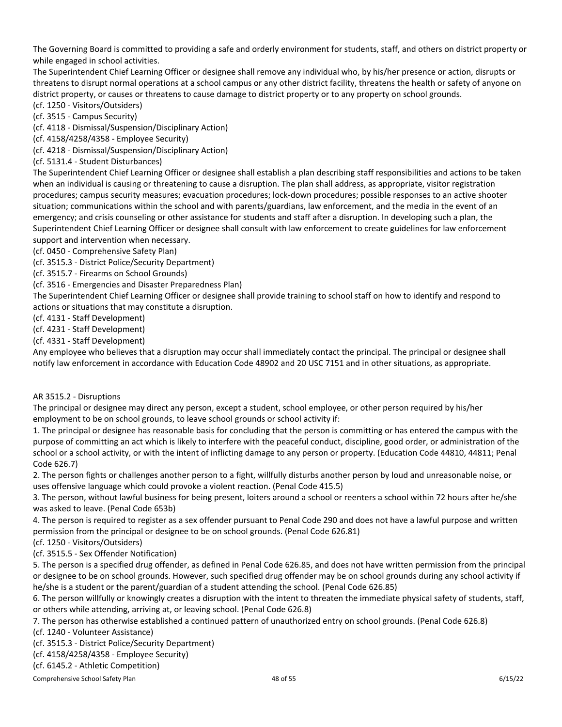The Governing Board is committed to providing a safe and orderly environment for students, staff, and others on district property or while engaged in school activities.

The Superintendent Chief Learning Officer or designee shall remove any individual who, by his/her presence or action, disrupts or threatens to disrupt normal operations at a school campus or any other district facility, threatens the health or safety of anyone on district property, or causes or threatens to cause damage to district property or to any property on school grounds.

(cf. 1250 - Visitors/Outsiders)

(cf. 3515 - Campus Security)

(cf. 4118 - Dismissal/Suspension/Disciplinary Action)

(cf. 4158/4258/4358 - Employee Security)

(cf. 4218 - Dismissal/Suspension/Disciplinary Action) (cf. 5131.4 - Student Disturbances)

The Superintendent Chief Learning Officer or designee shall establish a plan describing staff responsibilities and actions to be taken when an individual is causing or threatening to cause a disruption. The plan shall address, as appropriate, visitor registration procedures; campus security measures; evacuation procedures; lock-down procedures; possible responses to an active shooter situation; communications within the school and with parents/guardians, law enforcement, and the media in the event of an emergency; and crisis counseling or other assistance for students and staff after a disruption. In developing such a plan, the Superintendent Chief Learning Officer or designee shall consult with law enforcement to create guidelines for law enforcement support and intervention when necessary.

(cf. 0450 - Comprehensive Safety Plan)

(cf. 3515.3 - District Police/Security Department)

(cf. 3515.7 - Firearms on School Grounds)

(cf. 3516 - Emergencies and Disaster Preparedness Plan)

The Superintendent Chief Learning Officer or designee shall provide training to school staff on how to identify and respond to actions or situations that may constitute a disruption.

(cf. 4131 - Staff Development)

(cf. 4231 - Staff Development)

(cf. 4331 - Staff Development)

Any employee who believes that a disruption may occur shall immediately contact the principal. The principal or designee shall notify law enforcement in accordance with Education Code 48902 and 20 USC 7151 and in other situations, as appropriate.

# AR 3515.2 - Disruptions

The principal or designee may direct any person, except a student, school employee, or other person required by his/her employment to be on school grounds, to leave school grounds or school activity if:

1. The principal or designee has reasonable basis for concluding that the person is committing or has entered the campus with the purpose of committing an act which is likely to interfere with the peaceful conduct, discipline, good order, or administration of the school or a school activity, or with the intent of inflicting damage to any person or property. (Education Code 44810, 44811; Penal Code 626.7)

2. The person fights or challenges another person to a fight, willfully disturbs another person by loud and unreasonable noise, or uses offensive language which could provoke a violent reaction. (Penal Code 415.5)

3. The person, without lawful business for being present, loiters around a school or reenters a school within 72 hours after he/she was asked to leave. (Penal Code 653b)

4. The person is required to register as a sex offender pursuant to Penal Code 290 and does not have a lawful purpose and written permission from the principal or designee to be on school grounds. (Penal Code 626.81)

(cf. 1250 - Visitors/Outsiders)

(cf. 3515.5 - Sex Offender Notification)

5. The person is a specified drug offender, as defined in Penal Code 626.85, and does not have written permission from the principal or designee to be on school grounds. However, such specified drug offender may be on school grounds during any school activity if he/she is a student or the parent/guardian of a student attending the school. (Penal Code 626.85)

6. The person willfully or knowingly creates a disruption with the intent to threaten the immediate physical safety of students, staff, or others while attending, arriving at, or leaving school. (Penal Code 626.8)

7. The person has otherwise established a continued pattern of unauthorized entry on school grounds. (Penal Code 626.8)

(cf. 1240 - Volunteer Assistance)

(cf. 3515.3 - District Police/Security Department)

(cf. 4158/4258/4358 - Employee Security)

(cf. 6145.2 - Athletic Competition)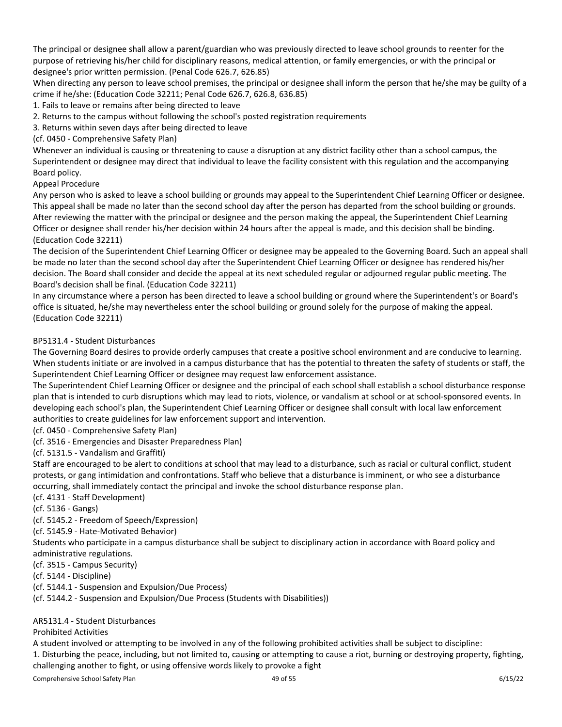The principal or designee shall allow a parent/guardian who was previously directed to leave school grounds to reenter for the purpose of retrieving his/her child for disciplinary reasons, medical attention, or family emergencies, or with the principal or designee's prior written permission. (Penal Code 626.7, 626.85)

When directing any person to leave school premises, the principal or designee shall inform the person that he/she may be guilty of a crime if he/she: (Education Code 32211; Penal Code 626.7, 626.8, 636.85)

1. Fails to leave or remains after being directed to leave

2. Returns to the campus without following the school's posted registration requirements

3. Returns within seven days after being directed to leave

(cf. 0450 - Comprehensive Safety Plan)

Whenever an individual is causing or threatening to cause a disruption at any district facility other than a school campus, the Superintendent or designee may direct that individual to leave the facility consistent with this regulation and the accompanying Board policy.

# Appeal Procedure

Any person who is asked to leave a school building or grounds may appeal to the Superintendent Chief Learning Officer or designee. This appeal shall be made no later than the second school day after the person has departed from the school building or grounds. After reviewing the matter with the principal or designee and the person making the appeal, the Superintendent Chief Learning Officer or designee shall render his/her decision within 24 hours after the appeal is made, and this decision shall be binding. (Education Code 32211)

The decision of the Superintendent Chief Learning Officer or designee may be appealed to the Governing Board. Such an appeal shall be made no later than the second school day after the Superintendent Chief Learning Officer or designee has rendered his/her decision. The Board shall consider and decide the appeal at its next scheduled regular or adjourned regular public meeting. The Board's decision shall be final. (Education Code 32211)

In any circumstance where a person has been directed to leave a school building or ground where the Superintendent's or Board's office is situated, he/she may nevertheless enter the school building or ground solely for the purpose of making the appeal. (Education Code 32211)

# BP5131.4 - Student Disturbances

The Governing Board desires to provide orderly campuses that create a positive school environment and are conducive to learning. When students initiate or are involved in a campus disturbance that has the potential to threaten the safety of students or staff, the Superintendent Chief Learning Officer or designee may request law enforcement assistance.

The Superintendent Chief Learning Officer or designee and the principal of each school shall establish a school disturbance response plan that is intended to curb disruptions which may lead to riots, violence, or vandalism at school or at school-sponsored events. In developing each school's plan, the Superintendent Chief Learning Officer or designee shall consult with local law enforcement authorities to create guidelines for law enforcement support and intervention.

(cf. 0450 - Comprehensive Safety Plan)

(cf. 3516 - Emergencies and Disaster Preparedness Plan)

(cf. 5131.5 - Vandalism and Graffiti)

Staff are encouraged to be alert to conditions at school that may lead to a disturbance, such as racial or cultural conflict, student protests, or gang intimidation and confrontations. Staff who believe that a disturbance is imminent, or who see a disturbance occurring, shall immediately contact the principal and invoke the school disturbance response plan.

(cf. 4131 - Staff Development)

(cf. 5136 - Gangs)

(cf. 5145.2 - Freedom of Speech/Expression)

(cf. 5145.9 - Hate-Motivated Behavior)

Students who participate in a campus disturbance shall be subject to disciplinary action in accordance with Board policy and administrative regulations.

(cf. 3515 - Campus Security)

(cf. 5144 - Discipline)

(cf. 5144.1 - Suspension and Expulsion/Due Process)

(cf. 5144.2 - Suspension and Expulsion/Due Process (Students with Disabilities))

# AR5131.4 - Student Disturbances

# Prohibited Activities

A student involved or attempting to be involved in any of the following prohibited activities shall be subject to discipline:

1. Disturbing the peace, including, but not limited to, causing or attempting to cause a riot, burning or destroying property, fighting, challenging another to fight, or using offensive words likely to provoke a fight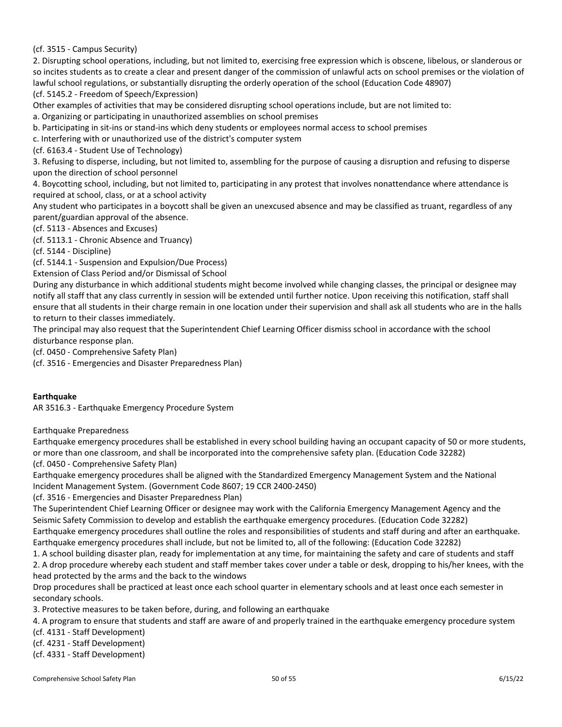(cf. 3515 - Campus Security)

2. Disrupting school operations, including, but not limited to, exercising free expression which is obscene, libelous, or slanderous or so incites students as to create a clear and present danger of the commission of unlawful acts on school premises or the violation of lawful school regulations, or substantially disrupting the orderly operation of the school (Education Code 48907) (cf. 5145.2 - Freedom of Speech/Expression)

Other examples of activities that may be considered disrupting school operations include, but are not limited to:

a. Organizing or participating in unauthorized assemblies on school premises

b. Participating in sit-ins or stand-ins which deny students or employees normal access to school premises

c. Interfering with or unauthorized use of the district's computer system

(cf. 6163.4 - Student Use of Technology)

3. Refusing to disperse, including, but not limited to, assembling for the purpose of causing a disruption and refusing to disperse upon the direction of school personnel

4. Boycotting school, including, but not limited to, participating in any protest that involves nonattendance where attendance is required at school, class, or at a school activity

Any student who participates in a boycott shall be given an unexcused absence and may be classified as truant, regardless of any parent/guardian approval of the absence.

(cf. 5113 - Absences and Excuses)

(cf. 5113.1 - Chronic Absence and Truancy)

(cf. 5144 - Discipline)

(cf. 5144.1 - Suspension and Expulsion/Due Process)

Extension of Class Period and/or Dismissal of School

During any disturbance in which additional students might become involved while changing classes, the principal or designee may notify all staff that any class currently in session will be extended until further notice. Upon receiving this notification, staff shall ensure that all students in their charge remain in one location under their supervision and shall ask all students who are in the halls to return to their classes immediately.

The principal may also request that the Superintendent Chief Learning Officer dismiss school in accordance with the school disturbance response plan.

(cf. 0450 - Comprehensive Safety Plan)

(cf. 3516 - Emergencies and Disaster Preparedness Plan)

# <span id="page-50-0"></span>**Earthquake**

AR 3516.3 - Earthquake Emergency Procedure System

Earthquake Preparedness

Earthquake emergency procedures shall be established in every school building having an occupant capacity of 50 or more students, or more than one classroom, and shall be incorporated into the comprehensive safety plan. (Education Code 32282) (cf. 0450 - Comprehensive Safety Plan)

Earthquake emergency procedures shall be aligned with the Standardized Emergency Management System and the National Incident Management System. (Government Code 8607; 19 CCR 2400-2450)

(cf. 3516 - Emergencies and Disaster Preparedness Plan)

The Superintendent Chief Learning Officer or designee may work with the California Emergency Management Agency and the Seismic Safety Commission to develop and establish the earthquake emergency procedures. (Education Code 32282) Earthquake emergency procedures shall outline the roles and responsibilities of students and staff during and after an earthquake. Earthquake emergency procedures shall include, but not be limited to, all of the following: (Education Code 32282)

1. A school building disaster plan, ready for implementation at any time, for maintaining the safety and care of students and staff 2. A drop procedure whereby each student and staff member takes cover under a table or desk, dropping to his/her knees, with the head protected by the arms and the back to the windows

Drop procedures shall be practiced at least once each school quarter in elementary schools and at least once each semester in secondary schools.

3. Protective measures to be taken before, during, and following an earthquake

4. A program to ensure that students and staff are aware of and properly trained in the earthquake emergency procedure system

(cf. 4131 - Staff Development)

(cf. 4231 - Staff Development)

(cf. 4331 - Staff Development)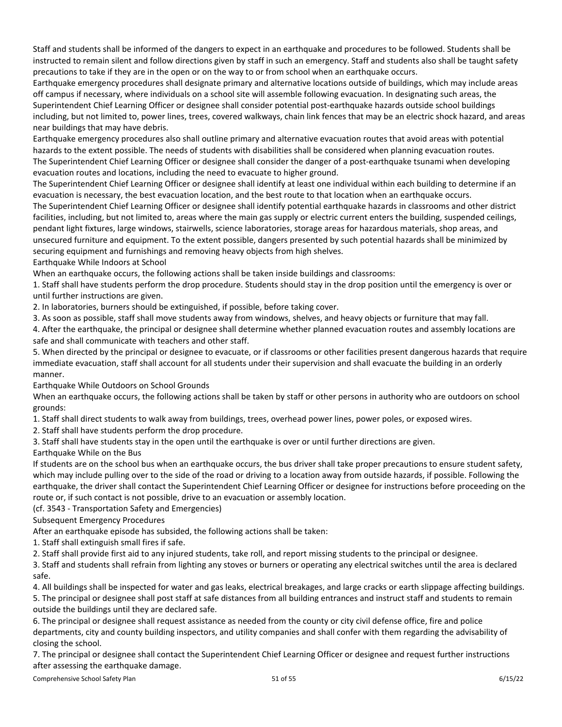Staff and students shall be informed of the dangers to expect in an earthquake and procedures to be followed. Students shall be instructed to remain silent and follow directions given by staff in such an emergency. Staff and students also shall be taught safety precautions to take if they are in the open or on the way to or from school when an earthquake occurs.

Earthquake emergency procedures shall designate primary and alternative locations outside of buildings, which may include areas off campus if necessary, where individuals on a school site will assemble following evacuation. In designating such areas, the Superintendent Chief Learning Officer or designee shall consider potential post-earthquake hazards outside school buildings including, but not limited to, power lines, trees, covered walkways, chain link fences that may be an electric shock hazard, and areas near buildings that may have debris.

Earthquake emergency procedures also shall outline primary and alternative evacuation routes that avoid areas with potential hazards to the extent possible. The needs of students with disabilities shall be considered when planning evacuation routes. The Superintendent Chief Learning Officer or designee shall consider the danger of a post-earthquake tsunami when developing evacuation routes and locations, including the need to evacuate to higher ground.

The Superintendent Chief Learning Officer or designee shall identify at least one individual within each building to determine if an evacuation is necessary, the best evacuation location, and the best route to that location when an earthquake occurs. The Superintendent Chief Learning Officer or designee shall identify potential earthquake hazards in classrooms and other district facilities, including, but not limited to, areas where the main gas supply or electric current enters the building, suspended ceilings, pendant light fixtures, large windows, stairwells, science laboratories, storage areas for hazardous materials, shop areas, and unsecured furniture and equipment. To the extent possible, dangers presented by such potential hazards shall be minimized by securing equipment and furnishings and removing heavy objects from high shelves.

Earthquake While Indoors at School

When an earthquake occurs, the following actions shall be taken inside buildings and classrooms:

1. Staff shall have students perform the drop procedure. Students should stay in the drop position until the emergency is over or until further instructions are given.

2. In laboratories, burners should be extinguished, if possible, before taking cover.

3. As soon as possible, staff shall move students away from windows, shelves, and heavy objects or furniture that may fall.

4. After the earthquake, the principal or designee shall determine whether planned evacuation routes and assembly locations are safe and shall communicate with teachers and other staff.

5. When directed by the principal or designee to evacuate, or if classrooms or other facilities present dangerous hazards that require immediate evacuation, staff shall account for all students under their supervision and shall evacuate the building in an orderly manner.

Earthquake While Outdoors on School Grounds

When an earthquake occurs, the following actions shall be taken by staff or other persons in authority who are outdoors on school grounds:

1. Staff shall direct students to walk away from buildings, trees, overhead power lines, power poles, or exposed wires.

2. Staff shall have students perform the drop procedure.

3. Staff shall have students stay in the open until the earthquake is over or until further directions are given.

Earthquake While on the Bus

If students are on the school bus when an earthquake occurs, the bus driver shall take proper precautions to ensure student safety, which may include pulling over to the side of the road or driving to a location away from outside hazards, if possible. Following the earthquake, the driver shall contact the Superintendent Chief Learning Officer or designee for instructions before proceeding on the route or, if such contact is not possible, drive to an evacuation or assembly location.

(cf. 3543 - Transportation Safety and Emergencies)

Subsequent Emergency Procedures

After an earthquake episode has subsided, the following actions shall be taken:

1. Staff shall extinguish small fires if safe.

2. Staff shall provide first aid to any injured students, take roll, and report missing students to the principal or designee.

3. Staff and students shall refrain from lighting any stoves or burners or operating any electrical switches until the area is declared safe.

4. All buildings shall be inspected for water and gas leaks, electrical breakages, and large cracks or earth slippage affecting buildings.

5. The principal or designee shall post staff at safe distances from all building entrances and instruct staff and students to remain outside the buildings until they are declared safe.

6. The principal or designee shall request assistance as needed from the county or city civil defense office, fire and police departments, city and county building inspectors, and utility companies and shall confer with them regarding the advisability of closing the school.

7. The principal or designee shall contact the Superintendent Chief Learning Officer or designee and request further instructions after assessing the earthquake damage.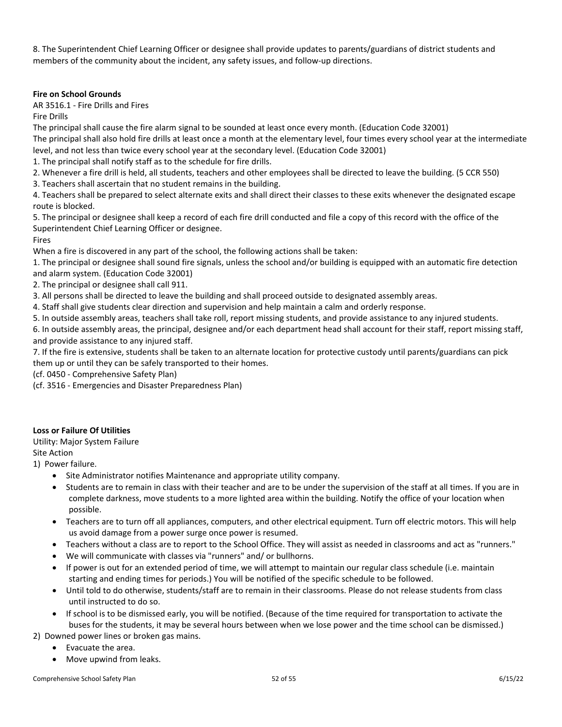8. The Superintendent Chief Learning Officer or designee shall provide updates to parents/guardians of district students and members of the community about the incident, any safety issues, and follow-up directions.

# <span id="page-52-0"></span>**Fire on School Grounds**

AR 3516.1 - Fire Drills and Fires

Fire Drills

The principal shall cause the fire alarm signal to be sounded at least once every month. (Education Code 32001) The principal shall also hold fire drills at least once a month at the elementary level, four times every school year at the intermediate level, and not less than twice every school year at the secondary level. (Education Code 32001)

1. The principal shall notify staff as to the schedule for fire drills.

- 2. Whenever a fire drill is held, all students, teachers and other employees shall be directed to leave the building. (5 CCR 550)
- 3. Teachers shall ascertain that no student remains in the building.

4. Teachers shall be prepared to select alternate exits and shall direct their classes to these exits whenever the designated escape route is blocked.

5. The principal or designee shall keep a record of each fire drill conducted and file a copy of this record with the office of the Superintendent Chief Learning Officer or designee.

Fires

When a fire is discovered in any part of the school, the following actions shall be taken:

1. The principal or designee shall sound fire signals, unless the school and/or building is equipped with an automatic fire detection and alarm system. (Education Code 32001)

2. The principal or designee shall call 911.

3. All persons shall be directed to leave the building and shall proceed outside to designated assembly areas.

4. Staff shall give students clear direction and supervision and help maintain a calm and orderly response.

5. In outside assembly areas, teachers shall take roll, report missing students, and provide assistance to any injured students.

6. In outside assembly areas, the principal, designee and/or each department head shall account for their staff, report missing staff, and provide assistance to any injured staff.

7. If the fire is extensive, students shall be taken to an alternate location for protective custody until parents/guardians can pick them up or until they can be safely transported to their homes.

(cf. 0450 - Comprehensive Safety Plan)

(cf. 3516 - Emergencies and Disaster Preparedness Plan)

# <span id="page-52-1"></span>**Loss or Failure Of Utilities**

Utility: Major System Failure

Site Action

1) Power failure.

- Site Administrator notifies Maintenance and appropriate utility company.
- Students are to remain in class with their teacher and are to be under the supervision of the staff at all times. If you are in complete darkness, move students to a more lighted area within the building. Notify the office of your location when possible.
- Teachers are to turn off all appliances, computers, and other electrical equipment. Turn off electric motors. This will help us avoid damage from a power surge once power is resumed.
- Teachers without a class are to report to the School Office. They will assist as needed in classrooms and act as "runners."
- We will communicate with classes via "runners" and/ or bullhorns.
- If power is out for an extended period of time, we will attempt to maintain our regular class schedule (i.e. maintain starting and ending times for periods.) You will be notified of the specific schedule to be followed.
- Until told to do otherwise, students/staff are to remain in their classrooms. Please do not release students from class until instructed to do so.
- If school is to be dismissed early, you will be notified. (Because of the time required for transportation to activate the buses for the students, it may be several hours between when we lose power and the time school can be dismissed.)
- 2) Downed power lines or broken gas mains.
	- Evacuate the area.
	- Move upwind from leaks.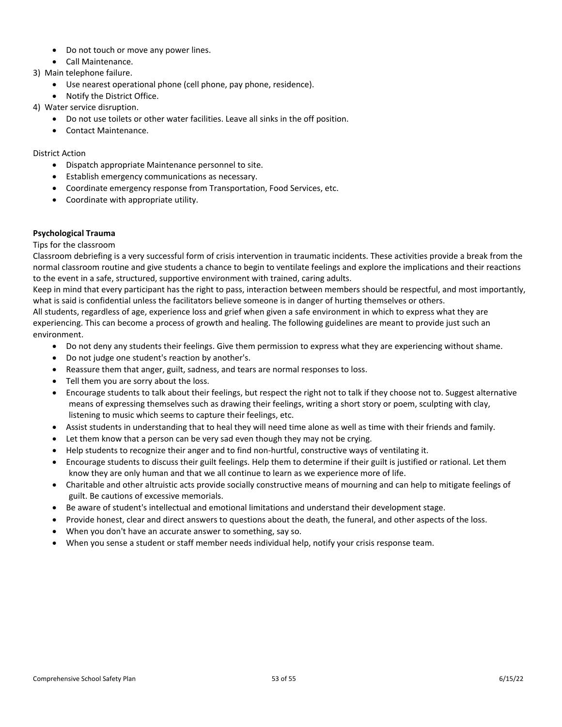- Do not touch or move any power lines.
- Call Maintenance.
- 3) Main telephone failure.
	- Use nearest operational phone (cell phone, pay phone, residence).
	- Notify the District Office.
- 4) Water service disruption.
	- Do not use toilets or other water facilities. Leave all sinks in the off position.
	- Contact Maintenance.

# District Action

- Dispatch appropriate Maintenance personnel to site.
- Establish emergency communications as necessary.
- Coordinate emergency response from Transportation, Food Services, etc.
- Coordinate with appropriate utility.

# <span id="page-53-0"></span>**Psychological Trauma**

# Tips for the classroom

Classroom debriefing is a very successful form of crisis intervention in traumatic incidents. These activities provide a break from the normal classroom routine and give students a chance to begin to ventilate feelings and explore the implications and their reactions to the event in a safe, structured, supportive environment with trained, caring adults.

Keep in mind that every participant has the right to pass, interaction between members should be respectful, and most importantly, what is said is confidential unless the facilitators believe someone is in danger of hurting themselves or others.

All students, regardless of age, experience loss and grief when given a safe environment in which to express what they are experiencing. This can become a process of growth and healing. The following guidelines are meant to provide just such an environment.

- Do not deny any students their feelings. Give them permission to express what they are experiencing without shame.
- Do not judge one student's reaction by another's.
- Reassure them that anger, guilt, sadness, and tears are normal responses to loss.
- Tell them you are sorry about the loss.
- Encourage students to talk about their feelings, but respect the right not to talk if they choose not to. Suggest alternative means of expressing themselves such as drawing their feelings, writing a short story or poem, sculpting with clay, listening to music which seems to capture their feelings, etc.
- Assist students in understanding that to heal they will need time alone as well as time with their friends and family.
- Let them know that a person can be very sad even though they may not be crying.
- Help students to recognize their anger and to find non-hurtful, constructive ways of ventilating it.
- Encourage students to discuss their guilt feelings. Help them to determine if their guilt is justified or rational. Let them know they are only human and that we all continue to learn as we experience more of life.
- Charitable and other altruistic acts provide socially constructive means of mourning and can help to mitigate feelings of guilt. Be cautions of excessive memorials.
- Be aware of student's intellectual and emotional limitations and understand their development stage.
- Provide honest, clear and direct answers to questions about the death, the funeral, and other aspects of the loss.
- When you don't have an accurate answer to something, say so.
- When you sense a student or staff member needs individual help, notify your crisis response team.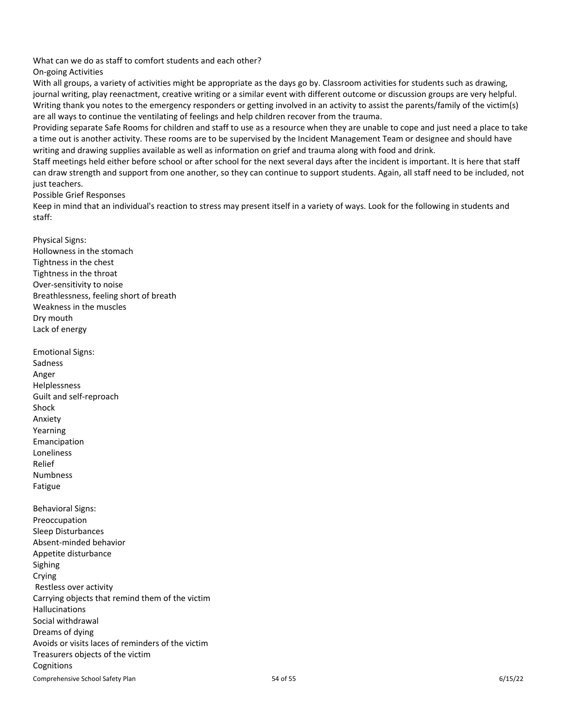What can we do as staff to comfort students and each other?

On-going Activities

With all groups, a variety of activities might be appropriate as the days go by. Classroom activities for students such as drawing, journal writing, play reenactment, creative writing or a similar event with different outcome or discussion groups are very helpful. Writing thank you notes to the emergency responders or getting involved in an activity to assist the parents/family of the victim(s) are all ways to continue the ventilating of feelings and help children recover from the trauma.

Providing separate Safe Rooms for children and staff to use as a resource when they are unable to cope and just need a place to take a time out is another activity. These rooms are to be supervised by the Incident Management Team or designee and should have writing and drawing supplies available as well as information on grief and trauma along with food and drink.

Staff meetings held either before school or after school for the next several days after the incident is important. It is here that staff can draw strength and support from one another, so they can continue to support students. Again, all staff need to be included, not just teachers.

Possible Grief Responses

Keep in mind that an individual's reaction to stress may present itself in a variety of ways. Look for the following in students and staff:

Physical Signs: Hollowness in the stomach Tightness in the chest Tightness in the throat Over-sensitivity to noise Breathlessness, feeling short of breath Weakness in the muscles Dry mouth Lack of energy

Comprehensive School Safety Plan 6/15/22 Emotional Signs: Sadness Anger Helplessness Guilt and self-reproach Shock Anxiety Yearning Emancipation Loneliness Relief Numbness Fatigue Behavioral Signs: Preoccupation Sleep Disturbances Absent-minded behavior Appetite disturbance Sighing Crying Restless over activity Carrying objects that remind them of the victim Hallucinations Social withdrawal Dreams of dying Avoids or visits laces of reminders of the victim Treasurers objects of the victim **Cognitions**